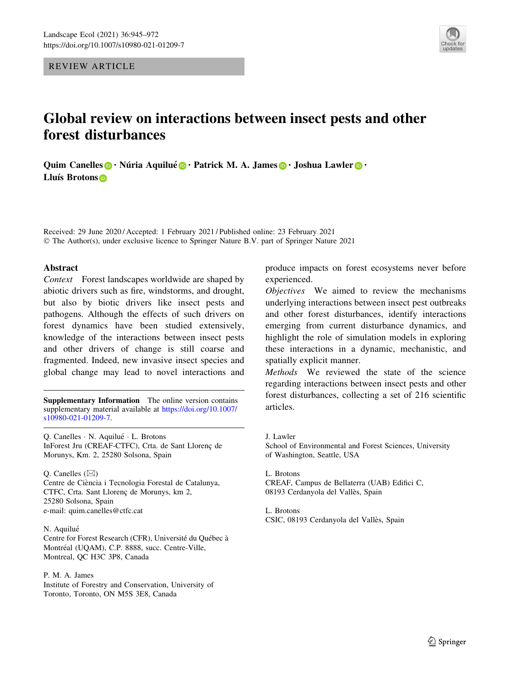REVIEW ARTICLE



# Global review on interactions between insect pests and other forest disturbances

Quim Canelles **·** Núria Aquilué **·** Patrick M. A. James **·** Joshua Lawler **·** · Lluís Brotons<sup>®</sup>

Received: 29 June 2020 / Accepted: 1 February 2021 / Published online: 23 February 2021 © The Author(s), under exclusive licence to Springer Nature B.V. part of Springer Nature 2021

## Abstract

Context Forest landscapes worldwide are shaped by abiotic drivers such as fire, windstorms, and drought, but also by biotic drivers like insect pests and pathogens. Although the effects of such drivers on forest dynamics have been studied extensively, knowledge of the interactions between insect pests and other drivers of change is still coarse and fragmented. Indeed, new invasive insect species and global change may lead to novel interactions and

**Supplementary Information** The online version contains<br>supplementary material available at [https://doi.org/10.1007/](https://doi.org/10.1007/s10980-021-01209-7) articles. [s10980-021-01209-7](https://doi.org/10.1007/s10980-021-01209-7).

Q. Canelles · N. Aquilué · L. Brotons InForest Jru (CREAF-CTFC), Crta. de Sant Llorenc¸ de Morunys, Km. 2, 25280 Solsona, Spain

O. Canelles  $(\boxtimes)$ Centre de Ciència i Tecnologia Forestal de Catalunya, CTFC, Crta. Sant Llorenç de Morunys, km 2, 25280 Solsona, Spain e-mail: quim.canelles@ctfc.cat

### N. Aquilué

Centre for Forest Research (CFR), Université du Québec à Montréal (UQAM), C.P. 8888, succ. Centre-Ville, Montreal, QC H3C 3P8, Canada

P. M. A. James

Institute of Forestry and Conservation, University of Toronto, Toronto, ON M5S 3E8, Canada

produce impacts on forest ecosystems never before experienced.

Objectives We aimed to review the mechanisms underlying interactions between insect pest outbreaks and other forest disturbances, identify interactions emerging from current disturbance dynamics, and highlight the role of simulation models in exploring these interactions in a dynamic, mechanistic, and spatially explicit manner.

Methods We reviewed the state of the science regarding interactions between insect pests and other forest disturbances, collecting a set of 216 scientific

J. Lawler School of Environmental and Forest Sciences, University of Washington, Seattle, USA

L. Brotons CREAF, Campus de Bellaterra (UAB) Edifici C, 08193 Cerdanyola del Vallès, Spain

L. Brotons CSIC, 08193 Cerdanyola del Vallès, Spain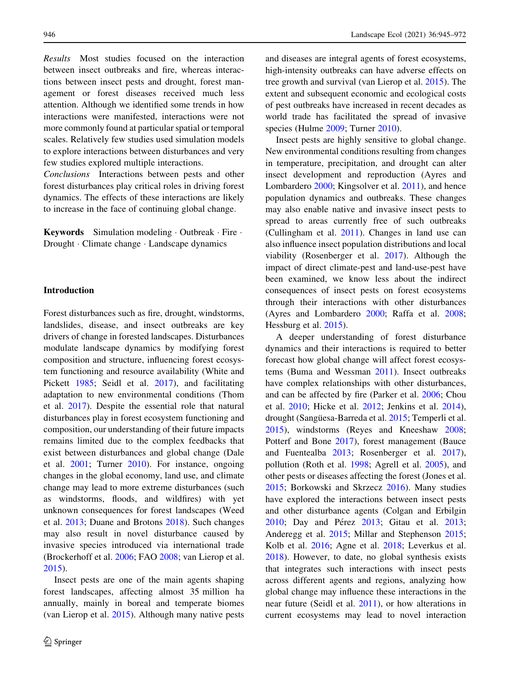Results Most studies focused on the interaction between insect outbreaks and fire, whereas interactions between insect pests and drought, forest management or forest diseases received much less attention. Although we identified some trends in how interactions were manifested, interactions were not more commonly found at particular spatial or temporal scales. Relatively few studies used simulation models to explore interactions between disturbances and very few studies explored multiple interactions.

Conclusions Interactions between pests and other forest disturbances play critical roles in driving forest dynamics. The effects of these interactions are likely to increase in the face of continuing global change.

Keywords Simulation modeling · Outbreak · Fire · Drought - Climate change - Landscape dynamics

#### Introduction

Forest disturbances such as fire, drought, windstorms, landslides, disease, and insect outbreaks are key drivers of change in forested landscapes. Disturbances modulate landscape dynamics by modifying forest composition and structure, influencing forest ecosystem functioning and resource availability (White and Pickett [1985;](#page-27-0) Seidl et al. [2017\)](#page-25-0), and facilitating adaptation to new environmental conditions (Thom et al. [2017\)](#page-26-0). Despite the essential role that natural disturbances play in forest ecosystem functioning and composition, our understanding of their future impacts remains limited due to the complex feedbacks that exist between disturbances and global change (Dale et al. [2001](#page-19-0); Turner [2010](#page-26-0)). For instance, ongoing changes in the global economy, land use, and climate change may lead to more extreme disturbances (such as windstorms, floods, and wildfires) with yet unknown consequences for forest landscapes (Weed et al. [2013](#page-26-0); Duane and Brotons [2018\)](#page-19-0). Such changes may also result in novel disturbance caused by invasive species introduced via international trade (Brockerhoff et al. [2006](#page-18-0); FAO [2008](#page-19-0); van Lierop et al. [2015\)](#page-26-0).

Insect pests are one of the main agents shaping forest landscapes, affecting almost 35 million ha annually, mainly in boreal and temperate biomes (van Lierop et al. [2015](#page-26-0)). Although many native pests and diseases are integral agents of forest ecosystems, high-intensity outbreaks can have adverse effects on tree growth and survival (van Lierop et al. [2015](#page-26-0)). The extent and subsequent economic and ecological costs of pest outbreaks have increased in recent decades as world trade has facilitated the spread of invasive species (Hulme [2009;](#page-21-0) Turner [2010](#page-26-0)).

Insect pests are highly sensitive to global change. New environmental conditions resulting from changes in temperature, precipitation, and drought can alter insect development and reproduction (Ayres and Lombardero [2000;](#page-17-0) Kingsolver et al. [2011\)](#page-21-0), and hence population dynamics and outbreaks. These changes may also enable native and invasive insect pests to spread to areas currently free of such outbreaks (Cullingham et al. [2011\)](#page-19-0). Changes in land use can also influence insect population distributions and local viability (Rosenberger et al. [2017\)](#page-25-0). Although the impact of direct climate-pest and land-use-pest have been examined, we know less about the indirect consequences of insect pests on forest ecosystems through their interactions with other disturbances (Ayres and Lombardero [2000;](#page-17-0) Raffa et al. [2008](#page-24-0); Hessburg et al. [2015\)](#page-20-0).

A deeper understanding of forest disturbance dynamics and their interactions is required to better forecast how global change will affect forest ecosystems (Buma and Wessman [2011\)](#page-18-0). Insect outbreaks have complex relationships with other disturbances, and can be affected by fire (Parker et al. [2006;](#page-24-0) Chou et al. [2010;](#page-19-0) Hicke et al. [2012](#page-20-0); Jenkins et al. [2014](#page-21-0)), drought (Sangüesa-Barreda et al. [2015](#page-25-0); Temperli et al. [2015\)](#page-26-0), windstorms (Reyes and Kneeshaw [2008](#page-25-0); Potterf and Bone [2017\)](#page-24-0), forest management (Bauce and Fuentealba [2013;](#page-17-0) Rosenberger et al. [2017](#page-25-0)), pollution (Roth et al. [1998;](#page-25-0) Agrell et al. [2005](#page-17-0)), and other pests or diseases affecting the forest (Jones et al. [2015;](#page-21-0) Borkowski and Skrzecz [2016\)](#page-18-0). Many studies have explored the interactions between insect pests and other disturbance agents (Colgan and Erbilgin [2010;](#page-19-0) Day and Pérez [2013](#page-20-0); Gitau et al. 2013; Anderegg et al. [2015](#page-17-0); Millar and Stephenson [2015](#page-23-0); Kolb et al. [2016;](#page-22-0) Agne et al. [2018](#page-17-0); Leverkus et al. [2018\)](#page-22-0). However, to date, no global synthesis exists that integrates such interactions with insect pests across different agents and regions, analyzing how global change may influence these interactions in the near future (Seidl et al. [2011](#page-25-0)), or how alterations in current ecosystems may lead to novel interaction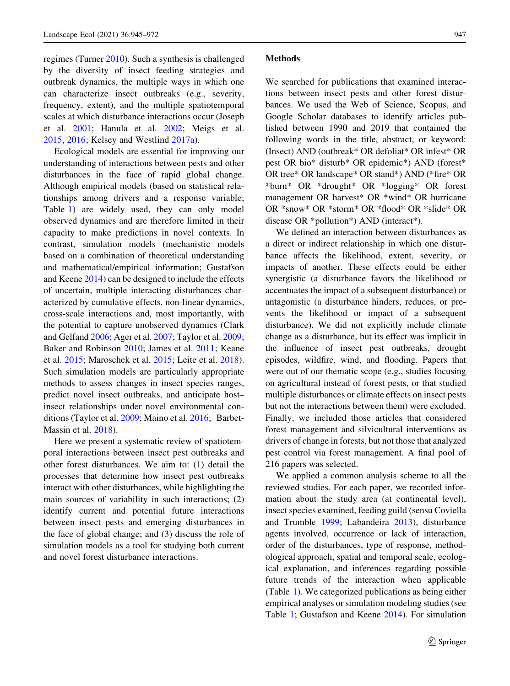regimes (Turner [2010\)](#page-26-0). Such a synthesis is challenged by the diversity of insect feeding strategies and outbreak dynamics, the multiple ways in which one can characterize insect outbreaks (e.g., severity, frequency, extent), and the multiple spatiotemporal scales at which disturbance interactions occur (Joseph et al. [2001](#page-21-0); Hanula et al. [2002;](#page-20-0) Meigs et al. [2015,](#page-23-0) [2016](#page-23-0); Kelsey and Westlind [2017a\)](#page-21-0).

Ecological models are essential for improving our understanding of interactions between pests and other disturbances in the face of rapid global change. Although empirical models (based on statistical relationships among drivers and a response variable; Table [1\)](#page-3-0) are widely used, they can only model observed dynamics and are therefore limited in their capacity to make predictions in novel contexts. In contrast, simulation models (mechanistic models based on a combination of theoretical understanding and mathematical/empirical information; Gustafson and Keene [2014](#page-20-0)) can be designed to include the effects of uncertain, multiple interacting disturbances characterized by cumulative effects, non-linear dynamics, cross-scale interactions and, most importantly, with the potential to capture unobserved dynamics (Clark and Gelfand [2006](#page-19-0); Ager et al. [2007;](#page-17-0) Taylor et al. [2009](#page-26-0); Baker and Robinson [2010](#page-17-0); James et al. [2011;](#page-21-0) Keane et al. [2015](#page-21-0); Maroschek et al. [2015;](#page-23-0) Leite et al. [2018](#page-22-0)). Such simulation models are particularly appropriate methods to assess changes in insect species ranges, predict novel insect outbreaks, and anticipate host– insect relationships under novel environmental conditions (Taylor et al. [2009;](#page-26-0) Maino et al. [2016;](#page-23-0) Barbet-Massin et al. [2018\)](#page-17-0).

Here we present a systematic review of spatiotemporal interactions between insect pest outbreaks and other forest disturbances. We aim to: (1) detail the processes that determine how insect pest outbreaks interact with other disturbances, while highlighting the main sources of variability in such interactions; (2) identify current and potential future interactions between insect pests and emerging disturbances in the face of global change; and (3) discuss the role of simulation models as a tool for studying both current and novel forest disturbance interactions.

### Methods

We searched for publications that examined interactions between insect pests and other forest disturbances. We used the Web of Science, Scopus, and Google Scholar databases to identify articles published between 1990 and 2019 that contained the following words in the title, abstract, or keyword: (Insect) AND (outbreak\* OR defoliat\* OR infest\* OR pest OR bio\* disturb\* OR epidemic\*) AND (forest\* OR tree\* OR landscape\* OR stand\*) AND (\*fire\* OR \*burn\* OR \*drought\* OR \*logging\* OR forest management OR harvest\* OR \*wind\* OR hurricane OR \*snow\* OR \*storm\* OR \*flood\* OR \*slide\* OR disease OR \*pollution\*) AND (interact\*).

We defined an interaction between disturbances as a direct or indirect relationship in which one disturbance affects the likelihood, extent, severity, or impacts of another. These effects could be either synergistic (a disturbance favors the likelihood or accentuates the impact of a subsequent disturbance) or antagonistic (a disturbance hinders, reduces, or prevents the likelihood or impact of a subsequent disturbance). We did not explicitly include climate change as a disturbance, but its effect was implicit in the influence of insect pest outbreaks, drought episodes, wildfire, wind, and flooding. Papers that were out of our thematic scope (e.g., studies focusing on agricultural instead of forest pests, or that studied multiple disturbances or climate effects on insect pests but not the interactions between them) were excluded. Finally, we included those articles that considered forest management and silvicultural interventions as drivers of change in forests, but not those that analyzed pest control via forest management. A final pool of 216 papers was selected.

We applied a common analysis scheme to all the reviewed studies. For each paper, we recorded information about the study area (at continental level), insect species examined, feeding guild (sensu Coviella and Trumble [1999](#page-19-0); Labandeira [2013\)](#page-22-0), disturbance agents involved, occurrence or lack of interaction, order of the disturbances, type of response, methodological approach, spatial and temporal scale, ecological explanation, and inferences regarding possible future trends of the interaction when applicable (Table [1](#page-3-0)). We categorized publications as being either empirical analyses or simulation modeling studies (see Table [1](#page-3-0); Gustafson and Keene [2014](#page-20-0)). For simulation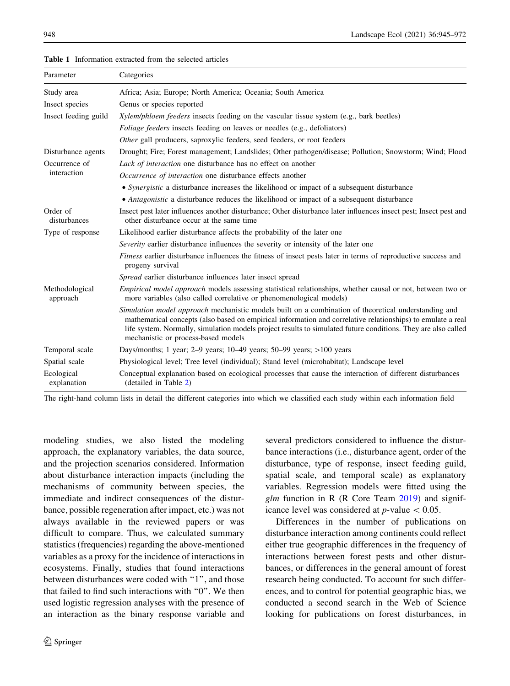| Parameter                  | Categories                                                                                                                                                                                                                                                                                                                                                                  |
|----------------------------|-----------------------------------------------------------------------------------------------------------------------------------------------------------------------------------------------------------------------------------------------------------------------------------------------------------------------------------------------------------------------------|
| Study area                 | Africa; Asia; Europe; North America; Oceania; South America                                                                                                                                                                                                                                                                                                                 |
| Insect species             | Genus or species reported                                                                                                                                                                                                                                                                                                                                                   |
| Insect feeding guild       | Xylem/phloem feeders insects feeding on the vascular tissue system (e.g., bark beetles)                                                                                                                                                                                                                                                                                     |
|                            | <i>Foliage feeders</i> insects feeding on leaves or needles (e.g., defoliators)                                                                                                                                                                                                                                                                                             |
|                            | Other gall producers, saproxylic feeders, seed feeders, or root feeders                                                                                                                                                                                                                                                                                                     |
| Disturbance agents         | Drought; Fire; Forest management; Landslides; Other pathogen/disease; Pollution; Snowstorm; Wind; Flood                                                                                                                                                                                                                                                                     |
| Occurrence of              | Lack of interaction one disturbance has no effect on another                                                                                                                                                                                                                                                                                                                |
| interaction                | Occurrence of interaction one disturbance effects another                                                                                                                                                                                                                                                                                                                   |
|                            | • Synergistic a disturbance increases the likelihood or impact of a subsequent disturbance                                                                                                                                                                                                                                                                                  |
|                            | • Antagonistic a disturbance reduces the likelihood or impact of a subsequent disturbance                                                                                                                                                                                                                                                                                   |
| Order of<br>disturbances   | Insect pest later influences another disturbance; Other disturbance later influences insect pest; Insect pest and<br>other disturbance occur at the same time                                                                                                                                                                                                               |
| Type of response           | Likelihood earlier disturbance affects the probability of the later one                                                                                                                                                                                                                                                                                                     |
|                            | <i>Severity</i> earlier disturbance influences the severity or intensity of the later one                                                                                                                                                                                                                                                                                   |
|                            | <i>Fitness</i> earlier disturbance influences the fitness of insect pests later in terms of reproductive success and<br>progeny survival                                                                                                                                                                                                                                    |
|                            | Spread earlier disturbance influences later insect spread                                                                                                                                                                                                                                                                                                                   |
| Methodological<br>approach | <i>Empirical model approach</i> models assessing statistical relationships, whether causal or not, between two or<br>more variables (also called correlative or phenomenological models)                                                                                                                                                                                    |
|                            | Simulation model approach mechanistic models built on a combination of theoretical understanding and<br>mathematical concepts (also based on empirical information and correlative relationships) to emulate a real<br>life system. Normally, simulation models project results to simulated future conditions. They are also called<br>mechanistic or process-based models |
| Temporal scale             | Days/months; 1 year; $2-9$ years; $10-49$ years; $50-99$ years; $>100$ years                                                                                                                                                                                                                                                                                                |
| Spatial scale              | Physiological level; Tree level (individual); Stand level (microhabitat); Landscape level                                                                                                                                                                                                                                                                                   |
| Ecological                 | Conceptual explanation based on ecological processes that cause the interaction of different disturbances                                                                                                                                                                                                                                                                   |

<span id="page-3-0"></span>Table 1 Information extracted from the selected articles

The right-hand column lists in detail the different categories into which we classified each study within each information field

modeling studies, we also listed the modeling approach, the explanatory variables, the data source, and the projection scenarios considered. Information about disturbance interaction impacts (including the mechanisms of community between species, the immediate and indirect consequences of the disturbance, possible regeneration after impact, etc.) was not always available in the reviewed papers or was difficult to compare. Thus, we calculated summary statistics (frequencies) regarding the above-mentioned variables as a proxy for the incidence of interactions in ecosystems. Finally, studies that found interactions between disturbances were coded with ''1'', and those that failed to find such interactions with ''0''. We then used logistic regression analyses with the presence of an interaction as the binary response variable and

(detailed in Table [2\)](#page-9-0)

explanation

several predictors considered to influence the disturbance interactions (i.e., disturbance agent, order of the disturbance, type of response, insect feeding guild, spatial scale, and temporal scale) as explanatory variables. Regression models were fitted using the  $g/m$  function in R (R Core Team [2019](#page-24-0)) and significance level was considered at  $p$ -value  $\lt$  0.05.

Differences in the number of publications on disturbance interaction among continents could reflect either true geographic differences in the frequency of interactions between forest pests and other disturbances, or differences in the general amount of forest research being conducted. To account for such differences, and to control for potential geographic bias, we conducted a second search in the Web of Science looking for publications on forest disturbances, in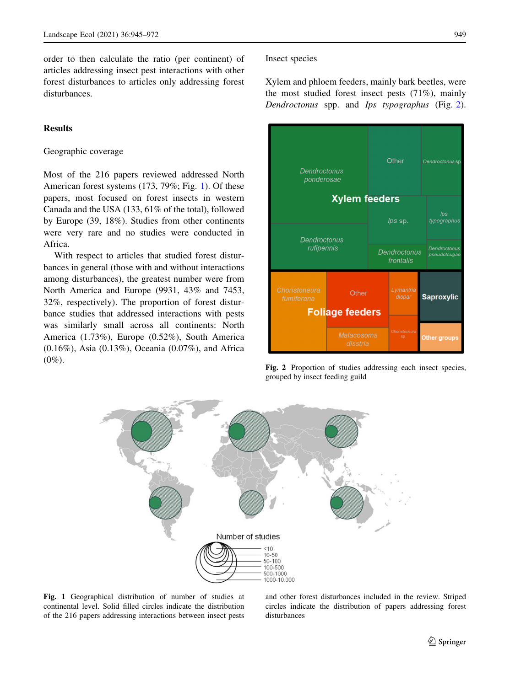<span id="page-4-0"></span>order to then calculate the ratio (per continent) of articles addressing insect pest interactions with other forest disturbances to articles only addressing forest disturbances.

## **Results**

## Geographic coverage

Most of the 216 papers reviewed addressed North American forest systems (173, 79%; Fig. 1). Of these papers, most focused on forest insects in western Canada and the USA (133, 61% of the total), followed by Europe (39, 18%). Studies from other continents were very rare and no studies were conducted in Africa.

With respect to articles that studied forest disturbances in general (those with and without interactions among disturbances), the greatest number were from North America and Europe (9931, 43% and 7453, 32%, respectively). The proportion of forest disturbance studies that addressed interactions with pests was similarly small across all continents: North America (1.73%), Europe (0.52%), South America (0.16%), Asia (0.13%), Oceania (0.07%), and Africa  $(0\%)$ .

## Insect species

Xylem and phloem feeders, mainly bark beetles, were the most studied forest insect pests (71%), mainly Dendroctonus spp. and Ips typographus (Fig. 2).



Fig. 2 Proportion of studies addressing each insect species, grouped by insect feeding guild



Fig. 1 Geographical distribution of number of studies at continental level. Solid filled circles indicate the distribution of the 216 papers addressing interactions between insect pests and other forest disturbances included in the review. Striped circles indicate the distribution of papers addressing forest disturbances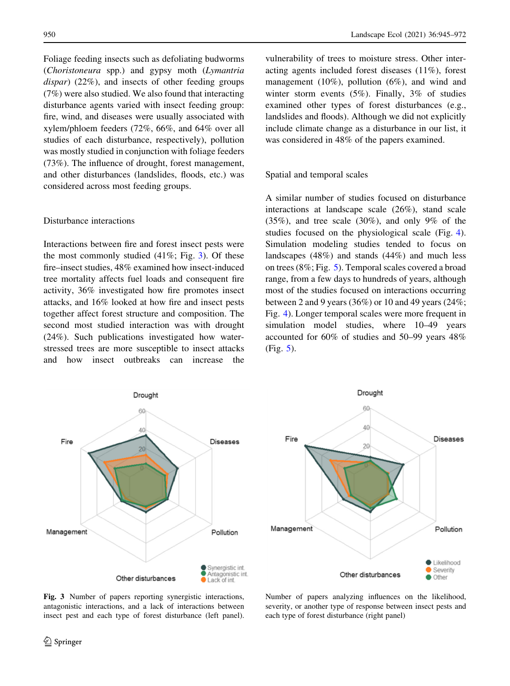<span id="page-5-0"></span>Foliage feeding insects such as defoliating budworms (Choristoneura spp.) and gypsy moth (Lymantria dispar) (22%), and insects of other feeding groups (7%) were also studied. We also found that interacting disturbance agents varied with insect feeding group: fire, wind, and diseases were usually associated with xylem/phloem feeders (72%, 66%, and 64% over all studies of each disturbance, respectively), pollution was mostly studied in conjunction with foliage feeders (73%). The influence of drought, forest management, and other disturbances (landslides, floods, etc.) was considered across most feeding groups.

### Disturbance interactions

Interactions between fire and forest insect pests were the most commonly studied  $(41\%; Fig. 3)$ . Of these fire–insect studies, 48% examined how insect-induced tree mortality affects fuel loads and consequent fire activity, 36% investigated how fire promotes insect attacks, and 16% looked at how fire and insect pests together affect forest structure and composition. The second most studied interaction was with drought (24%). Such publications investigated how waterstressed trees are more susceptible to insect attacks and how insect outbreaks can increase the vulnerability of trees to moisture stress. Other interacting agents included forest diseases (11%), forest management (10%), pollution (6%), and wind and winter storm events (5%). Finally, 3% of studies examined other types of forest disturbances (e.g., landslides and floods). Although we did not explicitly include climate change as a disturbance in our list, it was considered in 48% of the papers examined.

## Spatial and temporal scales

A similar number of studies focused on disturbance interactions at landscape scale (26%), stand scale (35%), and tree scale (30%), and only 9% of the studies focused on the physiological scale (Fig. [4](#page-6-0)). Simulation modeling studies tended to focus on landscapes (48%) and stands (44%) and much less on trees (8%; Fig. [5](#page-7-0)). Temporal scales covered a broad range, from a few days to hundreds of years, although most of the studies focused on interactions occurring between 2 and 9 years (36%) or 10 and 49 years (24%; Fig. [4\)](#page-6-0). Longer temporal scales were more frequent in simulation model studies, where 10–49 years accounted for 60% of studies and 50–99 years 48% (Fig. [5](#page-7-0)).



Drought 60 40 Fire **Diseases**  $20<sup>1</sup>$ Management Pollution Likelihood Severity Other disturbances **Other** 

Fig. 3 Number of papers reporting synergistic interactions, antagonistic interactions, and a lack of interactions between insect pest and each type of forest disturbance (left panel).

Number of papers analyzing influences on the likelihood, severity, or another type of response between insect pests and each type of forest disturbance (right panel)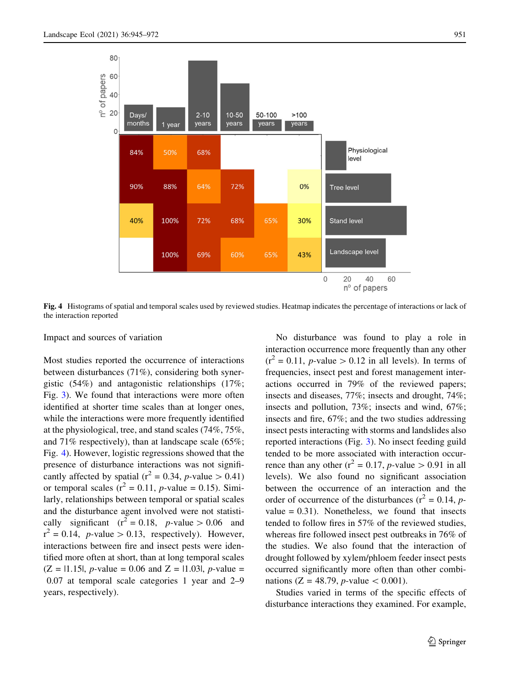<span id="page-6-0"></span>

Fig. 4 Histograms of spatial and temporal scales used by reviewed studies. Heatmap indicates the percentage of interactions or lack of the interaction reported

## Impact and sources of variation

Most studies reported the occurrence of interactions between disturbances (71%), considering both synergistic (54%) and antagonistic relationships (17%; Fig. [3\)](#page-5-0). We found that interactions were more often identified at shorter time scales than at longer ones, while the interactions were more frequently identified at the physiological, tree, and stand scales (74%, 75%, and 71% respectively), than at landscape scale (65%; Fig. 4). However, logistic regressions showed that the presence of disturbance interactions was not significantly affected by spatial ( $r^2 = 0.34$ , *p*-value  $> 0.41$ ) or temporal scales ( $r^2 = 0.11$ , *p*-value = 0.15). Similarly, relationships between temporal or spatial scales and the disturbance agent involved were not statistically significant  $(r^2 = 0.18, p-value > 0.06$  and  $r^2 = 0.14$ , *p*-value > 0.13, respectively). However, interactions between fire and insect pests were identified more often at short, than at long temporal scales  $(Z = |1.15|, p-value = 0.06$  and  $Z = |1.03|, p-value =$ 0.07 at temporal scale categories 1 year and 2–9 years, respectively).

No disturbance was found to play a role in interaction occurrence more frequently than any other  $(r^2 = 0.11, p-value > 0.12$  in all levels). In terms of frequencies, insect pest and forest management interactions occurred in 79% of the reviewed papers; insects and diseases, 77%; insects and drought, 74%; insects and pollution, 73%; insects and wind, 67%; insects and fire, 67%; and the two studies addressing insect pests interacting with storms and landslides also reported interactions (Fig. [3\)](#page-5-0). No insect feeding guild tended to be more associated with interaction occurrence than any other ( $r^2 = 0.17$ , *p*-value  $> 0.91$  in all levels). We also found no significant association between the occurrence of an interaction and the order of occurrence of the disturbances ( $r^2 = 0.14$ , pvalue  $= 0.31$ ). Nonetheless, we found that insects tended to follow fires in 57% of the reviewed studies, whereas fire followed insect pest outbreaks in 76% of the studies. We also found that the interaction of drought followed by xylem/phloem feeder insect pests occurred significantly more often than other combinations (Z = 48.79, *p*-value  $\lt$  0.001).

Studies varied in terms of the specific effects of disturbance interactions they examined. For example,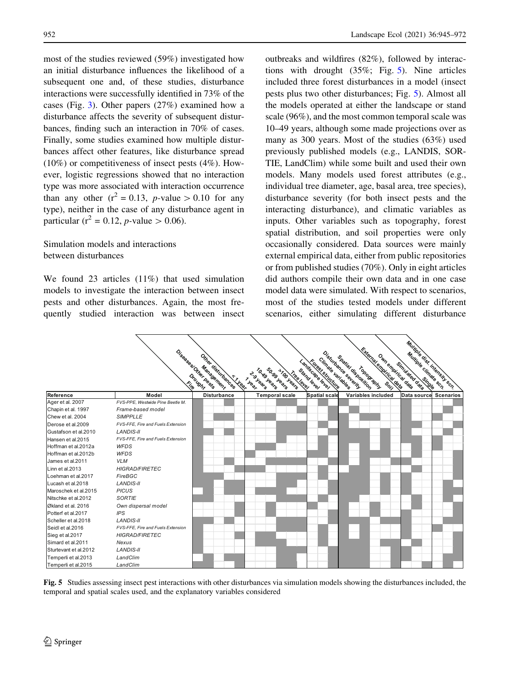<span id="page-7-0"></span>most of the studies reviewed (59%) investigated how an initial disturbance influences the likelihood of a subsequent one and, of these studies, disturbance interactions were successfully identified in 73% of the cases (Fig. [3](#page-5-0)). Other papers (27%) examined how a disturbance affects the severity of subsequent disturbances, finding such an interaction in 70% of cases. Finally, some studies examined how multiple disturbances affect other features, like disturbance spread (10%) or competitiveness of insect pests (4%). However, logistic regressions showed that no interaction type was more associated with interaction occurrence than any other  $(r^2 = 0.13, p-value > 0.10$  for any type), neither in the case of any disturbance agent in particular ( $r^2 = 0.12$ , *p*-value  $> 0.06$ ).

# Simulation models and interactions between disturbances

We found 23 articles (11%) that used simulation models to investigate the interaction between insect pests and other disturbances. Again, the most frequently studied interaction was between insect outbreaks and wildfires (82%), followed by interactions with drought (35%; Fig. 5). Nine articles included three forest disturbances in a model (insect pests plus two other disturbances; Fig. 5). Almost all the models operated at either the landscape or stand scale (96%), and the most common temporal scale was 10–49 years, although some made projections over as many as 300 years. Most of the studies (63%) used previously published models (e.g., LANDIS, SOR-TIE, LandClim) while some built and used their own models. Many models used forest attributes (e.g., individual tree diameter, age, basal area, tree species), disturbance severity (for both insect pests and the interacting disturbance), and climatic variables as inputs. Other variables such as topography, forest spatial distribution, and soil properties were only occasionally considered. Data sources were mainly external empirical data, either from public repositories or from published studies (70%). Only in eight articles did authors compile their own data and in one case model data were simulated. With respect to scenarios, most of the studies tested models under different scenarios, either simulating different disturbance

|                       |                                   |                                             |                                                     |                                     |                                                                                               | Multiple dist. Intensity seri- |                  |
|-----------------------|-----------------------------------|---------------------------------------------|-----------------------------------------------------|-------------------------------------|-----------------------------------------------------------------------------------------------|--------------------------------|------------------|
|                       |                                   |                                             |                                                     |                                     |                                                                                               |                                |                  |
|                       |                                   |                                             |                                                     |                                     |                                                                                               |                                |                  |
|                       |                                   |                                             |                                                     | Forest stricture                    |                                                                                               |                                |                  |
|                       |                                   | Management                                  | SO-99 Years<br>TONS Jeans                           | Stand level                         | Topography.                                                                                   |                                |                  |
|                       |                                   | Drought<br><b>Vr Year</b>                   | *TOO years<br>Heater<br><b>Vree level</b><br>I Hear |                                     |                                                                                               |                                |                  |
|                       |                                   | Diseases Other Peases<br>Other distintances |                                                     | Cimate variables<br>Landscape level | Extended energies desert<br>Disturbance severity<br>Own empirical date<br>Spatial disposition | Simulated date                 |                  |
| Reference             | Model                             | <b>Disturbance</b>                          | <b>Temporal scale</b>                               | <b>Spatial scale</b>                | <b>Variables included</b>                                                                     | Data source                    | <b>Scenarios</b> |
| Ager et al. 2007      | FVS-PPE, Westwide Pine Beetle M.  |                                             |                                                     |                                     |                                                                                               |                                |                  |
| Chapin et al. 1997    | Frame-based model                 |                                             |                                                     |                                     |                                                                                               |                                |                  |
| Chew et al. 2004      | <b>SIMPPLLE</b>                   |                                             |                                                     |                                     |                                                                                               |                                |                  |
| Derose et al.2009     | FVS-FFE. Fire and Fuels Extension |                                             |                                                     |                                     |                                                                                               |                                |                  |
| Gustafson et al.2010  | <b>LANDIS-II</b>                  |                                             |                                                     |                                     |                                                                                               |                                |                  |
| Hansen et al.2015     | FVS-FFE. Fire and Fuels Extension |                                             |                                                     |                                     |                                                                                               |                                |                  |
| Hoffman et al.2012a   | <b>WFDS</b>                       |                                             |                                                     |                                     |                                                                                               |                                |                  |
| Hoffman et al.2012b   | WFDS                              |                                             |                                                     |                                     |                                                                                               |                                |                  |
| James et al.2011      | <b>VLM</b>                        |                                             |                                                     |                                     |                                                                                               |                                |                  |
| Linn et al.2013       | <b>HIGRAD/FIRETEC</b>             |                                             |                                                     |                                     |                                                                                               |                                |                  |
| Loehman et al.2017    | FireBGC                           |                                             |                                                     |                                     |                                                                                               |                                |                  |
| Lucash et al.2018     | <b>LANDIS-II</b>                  |                                             |                                                     |                                     |                                                                                               |                                |                  |
| Maroschek et al.2015  | <b>PICUS</b>                      |                                             |                                                     |                                     |                                                                                               |                                |                  |
| Nitschke et al.2012   | <b>SORTIE</b>                     |                                             |                                                     |                                     |                                                                                               |                                |                  |
| Økland et al. 2016    | Own dispersal model               |                                             |                                                     |                                     |                                                                                               |                                |                  |
| Potterf et al.2017    | <b>IPS</b>                        |                                             |                                                     |                                     |                                                                                               |                                |                  |
| Scheller et al.2018   | <b>LANDIS-II</b>                  |                                             |                                                     |                                     |                                                                                               |                                |                  |
| Seidl et al.2016      | FVS-FFE, Fire and Fuels Extension |                                             |                                                     |                                     |                                                                                               |                                |                  |
| Sieg et al.2017       | <b>HIGRAD/FIRETEC</b>             |                                             |                                                     |                                     |                                                                                               |                                |                  |
| Simard et al.2011     | Nexus                             |                                             |                                                     |                                     |                                                                                               |                                |                  |
| Sturtevant et al.2012 | <b>LANDIS-II</b>                  |                                             |                                                     |                                     |                                                                                               |                                |                  |
| Temperli et al.2013   | LandClim                          |                                             |                                                     |                                     |                                                                                               |                                |                  |
| Temperli et al.2015   | LandClim                          |                                             |                                                     |                                     |                                                                                               |                                |                  |

Fig. 5 Studies assessing insect pest interactions with other disturbances via simulation models showing the disturbances included, the temporal and spatial scales used, and the explanatory variables considered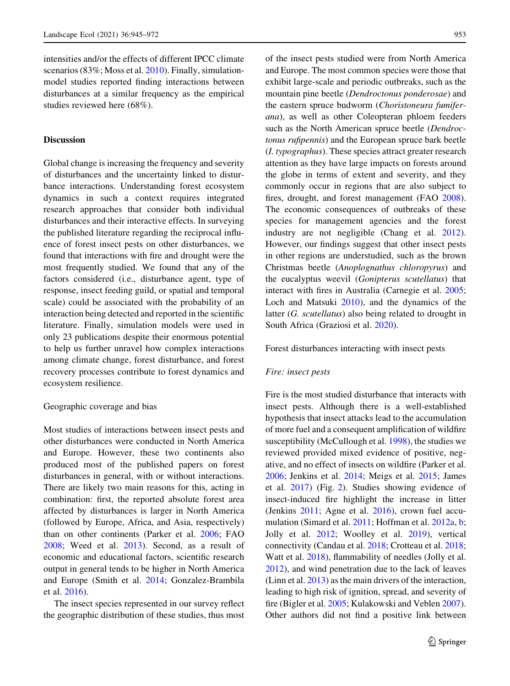intensities and/or the effects of different IPCC climate scenarios (83%; Moss et al. [2010](#page-24-0)). Finally, simulationmodel studies reported finding interactions between disturbances at a similar frequency as the empirical studies reviewed here (68%).

## **Discussion**

Global change is increasing the frequency and severity of disturbances and the uncertainty linked to disturbance interactions. Understanding forest ecosystem dynamics in such a context requires integrated research approaches that consider both individual disturbances and their interactive effects. In surveying the published literature regarding the reciprocal influence of forest insect pests on other disturbances, we found that interactions with fire and drought were the most frequently studied. We found that any of the factors considered (i.e., disturbance agent, type of response, insect feeding guild, or spatial and temporal scale) could be associated with the probability of an interaction being detected and reported in the scientific literature. Finally, simulation models were used in only 23 publications despite their enormous potential to help us further unravel how complex interactions among climate change, forest disturbance, and forest recovery processes contribute to forest dynamics and ecosystem resilience.

## Geographic coverage and bias

Most studies of interactions between insect pests and other disturbances were conducted in North America and Europe. However, these two continents also produced most of the published papers on forest disturbances in general, with or without interactions. There are likely two main reasons for this, acting in combination: first, the reported absolute forest area affected by disturbances is larger in North America (followed by Europe, Africa, and Asia, respectively) than on other continents (Parker et al. [2006;](#page-24-0) FAO [2008;](#page-19-0) Weed et al. [2013\)](#page-26-0). Second, as a result of economic and educational factors, scientific research output in general tends to be higher in North America and Europe (Smith et al. [2014](#page-26-0); Gonzalez-Brambila et al. [2016](#page-20-0)).

The insect species represented in our survey reflect the geographic distribution of these studies, thus most

of the insect pests studied were from North America and Europe. The most common species were those that exhibit large-scale and periodic outbreaks, such as the mountain pine beetle (Dendroctonus ponderosae) and the eastern spruce budworm (Choristoneura fumiferana), as well as other Coleopteran phloem feeders such as the North American spruce beetle (Dendroctonus rufipennis) and the European spruce bark beetle (I. typographus). These species attract greater research attention as they have large impacts on forests around the globe in terms of extent and severity, and they commonly occur in regions that are also subject to fires, drought, and forest management (FAO [2008](#page-19-0)). The economic consequences of outbreaks of these species for management agencies and the forest industry are not negligible (Chang et al. [2012](#page-18-0)). However, our findings suggest that other insect pests in other regions are understudied, such as the brown Christmas beetle (Anoplognathus chloropyrus) and the eucalyptus weevil (Gonipterus scutellatus) that interact with fires in Australia (Carnegie et al. [2005](#page-18-0); Loch and Matsuki [2010](#page-22-0)), and the dynamics of the latter (G. scutellatus) also being related to drought in South Africa (Graziosi et al. [2020\)](#page-20-0).

Forest disturbances interacting with insect pests

#### Fire: insect pests

Fire is the most studied disturbance that interacts with insect pests. Although there is a well-established hypothesis that insect attacks lead to the accumulation of more fuel and a consequent amplification of wildfire susceptibility (McCullough et al. [1998\)](#page-23-0), the studies we reviewed provided mixed evidence of positive, negative, and no effect of insects on wildfire (Parker et al. [2006;](#page-24-0) Jenkins et al. [2014](#page-21-0); Meigs et al. [2015](#page-23-0); James et al. [2017\)](#page-21-0) (Fig. [2](#page-4-0)). Studies showing evidence of insect-induced fire highlight the increase in litter (Jenkins [2011](#page-21-0); Agne et al. [2016\)](#page-17-0), crown fuel accumulation (Simard et al. [2011;](#page-26-0) Hoffman et al. [2012a,](#page-20-0) [b;](#page-20-0) Jolly et al. [2012;](#page-21-0) Woolley et al. [2019](#page-27-0)), vertical connectivity (Candau et al. [2018](#page-18-0); Crotteau et al. [2018](#page-19-0); Watt et al. [2018](#page-26-0)), flammability of needles (Jolly et al. [2012\)](#page-21-0), and wind penetration due to the lack of leaves (Linn et al. [2013\)](#page-22-0) as the main drivers of the interaction, leading to high risk of ignition, spread, and severity of fire (Bigler et al. [2005;](#page-18-0) Kulakowski and Veblen [2007](#page-22-0)). Other authors did not find a positive link between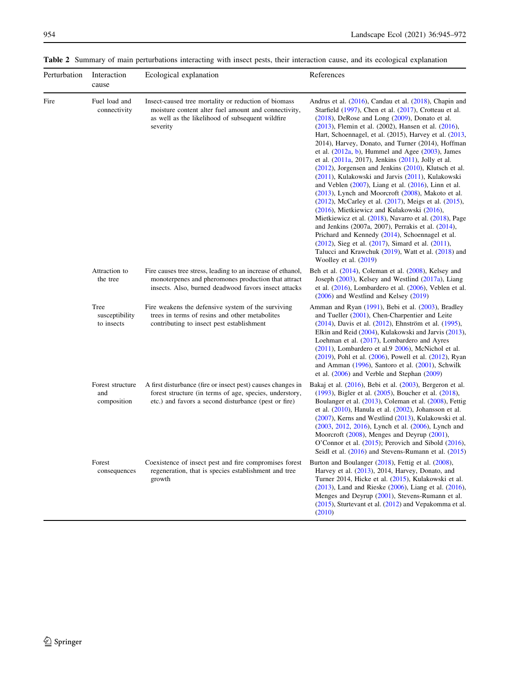| Perturbation | Interaction<br>cause                   | Ecological explanation                                                                                                                                                         | References                                                                                                                                                                                                                                                                                                                                                                                                                                                                                                                                                                                                                                                                                                                                                                                                                                                                                                                                                                                                                                                                                                                                                          |
|--------------|----------------------------------------|--------------------------------------------------------------------------------------------------------------------------------------------------------------------------------|---------------------------------------------------------------------------------------------------------------------------------------------------------------------------------------------------------------------------------------------------------------------------------------------------------------------------------------------------------------------------------------------------------------------------------------------------------------------------------------------------------------------------------------------------------------------------------------------------------------------------------------------------------------------------------------------------------------------------------------------------------------------------------------------------------------------------------------------------------------------------------------------------------------------------------------------------------------------------------------------------------------------------------------------------------------------------------------------------------------------------------------------------------------------|
| Fire         | Fuel load and<br>connectivity          | Insect-caused tree mortality or reduction of biomass<br>moisture content alter fuel amount and connectivity,<br>as well as the likelihood of subsequent wildfire<br>severity   | Andrus et al. $(2016)$ , Candau et al. $(2018)$ , Chapin and<br>Starfield $(1997)$ , Chen et al. $(2017)$ , Crotteau et al.<br>$(2018)$ , DeRose and Long $(2009)$ , Donato et al.<br>$(2013)$ , Flemin et al. $(2002)$ , Hansen et al. $(2016)$ ,<br>Hart, Schoennagel, et al. (2015), Harvey et al. (2013,<br>2014), Harvey, Donato, and Turner (2014), Hoffman<br>et al. $(2012a, b)$ , Hummel and Agee $(2003)$ , James<br>et al. $(2011a, 2017)$ , Jenkins $(2011)$ , Jolly et al.<br>$(2012)$ , Jorgensen and Jenkins $(2010)$ , Klutsch et al.<br>(2011), Kulakowski and Jarvis (2011), Kulakowski<br>and Veblen $(2007)$ , Liang et al. $(2016)$ , Linn et al.<br>$(2013)$ , Lynch and Moorcroft $(2008)$ , Makoto et al.<br>$(2012)$ , McCarley et al. $(2017)$ , Meigs et al. $(2015)$ ,<br>(2016), Mietkiewicz and Kulakowski (2016),<br>Mietkiewicz et al. (2018), Navarro et al. (2018), Page<br>and Jenkins (2007a, 2007), Perrakis et al. (2014),<br>Prichard and Kennedy (2014), Schoennagel et al.<br>$(2012)$ , Sieg et al. $(2017)$ , Simard et al. $(2011)$ ,<br>Talucci and Krawchuk (2019), Watt et al. (2018) and<br>Woolley et al. $(2019)$ |
|              | Attraction to<br>the tree              | Fire causes tree stress, leading to an increase of ethanol,<br>monoterpenes and pheromones production that attract<br>insects. Also, burned deadwood favors insect attacks     | Beh et al. (2014), Coleman et al. (2008), Kelsey and<br>Joseph $(2003)$ , Kelsey and Westlind $(2017a)$ , Liang<br>et al. $(2016)$ , Lombardero et al. $(2006)$ , Veblen et al.<br>(2006) and Westlind and Kelsey (2019)                                                                                                                                                                                                                                                                                                                                                                                                                                                                                                                                                                                                                                                                                                                                                                                                                                                                                                                                            |
|              | Tree<br>susceptibility<br>to insects   | Fire weakens the defensive system of the surviving<br>trees in terms of resins and other metabolites<br>contributing to insect pest establishment                              | Amman and Ryan (1991), Bebi et al. (2003), Bradley<br>and Tueller (2001), Chen-Charpentier and Leite<br>(2014), Davis et al. (2012), Ehnström et al. (1995),<br>Elkin and Reid (2004), Kulakowski and Jarvis (2013),<br>Loehman et al. $(2017)$ , Lombardero and Ayres<br>$(2011)$ , Lombardero et al. $9\,2006$ ), McNichol et al.<br>$(2019)$ , Pohl et al. $(2006)$ , Powell et al. $(2012)$ , Ryan<br>and Amman (1996), Santoro et al. (2001), Schwilk<br>et al. $(2006)$ and Verble and Stephan $(2009)$                                                                                                                                                                                                                                                                                                                                                                                                                                                                                                                                                                                                                                                       |
|              | Forest structure<br>and<br>composition | A first disturbance (fire or insect pest) causes changes in<br>forest structure (in terms of age, species, understory,<br>etc.) and favors a second disturbance (pest or fire) | Bakaj et al. (2016), Bebi et al. (2003), Bergeron et al.<br>$(1993)$ , Bigler et al. $(2005)$ , Boucher et al. $(2018)$ ,<br>Boulanger et al. (2013), Coleman et al. (2008), Fettig<br>et al. $(2010)$ , Hanula et al. $(2002)$ , Johansson et al.<br>(2007), Kerns and Westlind (2013), Kulakowski et al.<br>(2003, 2012, 2016), Lynch et al. (2006), Lynch and<br>Moorcroft (2008), Menges and Deyrup (2001),<br>O'Connor et al. $(2015)$ ; Perovich and Sibold $(2016)$ ,<br>Seidl et al. $(2016)$ and Stevens-Rumann et al. $(2015)$                                                                                                                                                                                                                                                                                                                                                                                                                                                                                                                                                                                                                            |
|              | Forest<br>consequences                 | Coexistence of insect pest and fire compromises forest<br>regeneration, that is species establishment and tree<br>growth                                                       | Burton and Boulanger $(2018)$ , Fettig et al. $(2008)$ ,<br>Harvey et al. (2013), 2014, Harvey, Donato, and<br>Turner 2014, Hicke et al. (2015), Kulakowski et al.<br>$(2013)$ , Land and Rieske $(2006)$ , Liang et al. $(2016)$ ,<br>Menges and Deyrup (2001), Stevens-Rumann et al.<br>(2015), Sturtevant et al. (2012) and Vepakomma et al.<br>(2010)                                                                                                                                                                                                                                                                                                                                                                                                                                                                                                                                                                                                                                                                                                                                                                                                           |

<span id="page-9-0"></span>Table 2 Summary of main perturbations interacting with insect pests, their interaction cause, and its ecological explanation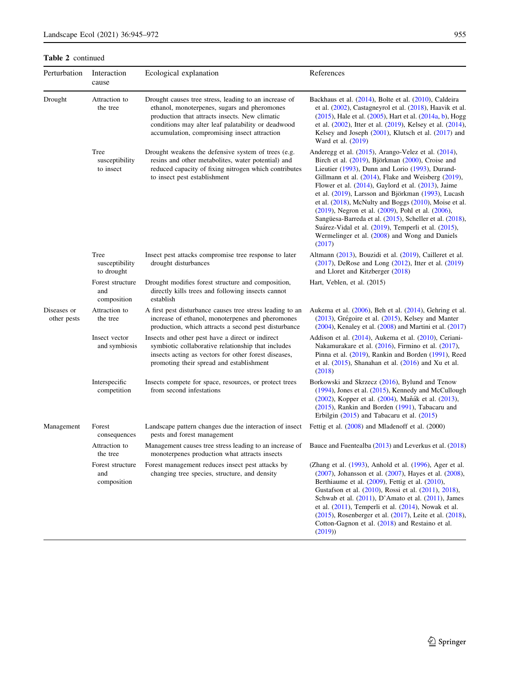Table 2 continued

| Perturbation               | Interaction<br>cause                   | Ecological explanation                                                                                                                                                                                                                                        | References                                                                                                                                                                                                                                                                                                                                                                                                                                                                                                                                                                                                                                          |
|----------------------------|----------------------------------------|---------------------------------------------------------------------------------------------------------------------------------------------------------------------------------------------------------------------------------------------------------------|-----------------------------------------------------------------------------------------------------------------------------------------------------------------------------------------------------------------------------------------------------------------------------------------------------------------------------------------------------------------------------------------------------------------------------------------------------------------------------------------------------------------------------------------------------------------------------------------------------------------------------------------------------|
| Drought                    | Attraction to<br>the tree              | Drought causes tree stress, leading to an increase of<br>ethanol, monoterpenes, sugars and pheromones<br>production that attracts insects. New climatic<br>conditions may alter leaf palatability or deadwood<br>accumulation, compromising insect attraction | Backhaus et al. (2014), Bolte et al. (2010), Caldeira<br>et al. $(2002)$ , Castagneyrol et al. $(2018)$ , Haavik et al.<br>$(2015)$ , Hale et al. $(2005)$ , Hart et al. $(2014a, b)$ , Hogg<br>et al. $(2002)$ , Itter et al. $(2019)$ , Kelsey et al. $(2014)$ ,<br>Kelsey and Joseph (2001), Klutsch et al. (2017) and<br>Ward et al. (2019)                                                                                                                                                                                                                                                                                                     |
|                            | Tree<br>susceptibility<br>to insect    | Drought weakens the defensive system of trees (e.g.<br>resins and other metabolites, water potential) and<br>reduced capacity of fixing nitrogen which contributes<br>to insect pest establishment                                                            | Anderegg et al. (2015), Arango-Velez et al. (2014),<br>Birch et al. (2019), Björkman (2000), Croise and<br>Lieutier (1993), Dunn and Lorio (1993), Durand-<br>Gillmann et al. $(2014)$ , Flake and Weisberg $(2019)$ ,<br>Flower et al. $(2014)$ , Gaylord et al. $(2013)$ , Jaime<br>et al. (2019), Larsson and Björkman (1993), Lucash<br>et al. $(2018)$ , McNulty and Boggs $(2010)$ , Moise et al.<br>$(2019)$ , Negron et al. $(2009)$ , Pohl et al. $(2006)$ ,<br>Sangüesa-Barreda et al. (2015), Scheller et al. (2018),<br>Suárez-Vidal et al. (2019), Temperli et al. (2015),<br>Wermelinger et al. (2008) and Wong and Daniels<br>(2017) |
|                            | Tree<br>susceptibility<br>to drought   | Insect pest attacks compromise tree response to later<br>drought disturbances                                                                                                                                                                                 | Altmann (2013), Bouzidi et al. (2019), Cailleret et al.<br>$(2017)$ , DeRose and Long $(2012)$ , Itter et al. $(2019)$<br>and Lloret and Kitzberger (2018)                                                                                                                                                                                                                                                                                                                                                                                                                                                                                          |
|                            | Forest structure<br>and<br>composition | Drought modifies forest structure and composition,<br>directly kills trees and following insects cannot<br>establish                                                                                                                                          | Hart, Veblen, et al. (2015)                                                                                                                                                                                                                                                                                                                                                                                                                                                                                                                                                                                                                         |
| Diseases or<br>other pests | Attraction to<br>the tree              | A first pest disturbance causes tree stress leading to an<br>increase of ethanol, monoterpenes and pheromones<br>production, which attracts a second pest disturbance                                                                                         | Aukema et al. $(2006)$ , Beh et al. $(2014)$ , Gehring et al.<br>$(2013)$ , Grégoire et al. $(2015)$ , Kelsey and Manter<br>$(2004)$ , Kenaley et al. $(2008)$ and Martini et al. $(2017)$                                                                                                                                                                                                                                                                                                                                                                                                                                                          |
|                            | Insect vector<br>and symbiosis         | Insects and other pest have a direct or indirect<br>symbiotic collaborative relationship that includes<br>insects acting as vectors for other forest diseases,<br>promoting their spread and establishment                                                    | Addison et al. (2014), Aukema et al. (2010), Ceriani-<br>Nakamurakare et al. $(2016)$ , Firmino et al. $(2017)$ ,<br>Pinna et al. (2019), Rankin and Borden (1991), Reed<br>et al. $(2015)$ , Shanahan et al. $(2016)$ and Xu et al.<br>(2018)                                                                                                                                                                                                                                                                                                                                                                                                      |
|                            | Interspecific<br>competition           | Insects compete for space, resources, or protect trees<br>from second infestations                                                                                                                                                                            | Borkowski and Skrzecz (2016), Bylund and Tenow<br>$(1994)$ , Jones et al. $(2015)$ , Kennedy and McCullough<br>(2002), Kopper et al. (2004), Maňák et al. (2013),<br>(2015), Rankin and Borden (1991), Tabacaru and<br>Erbilgin $(2015)$ and Tabacaru et al. $(2015)$                                                                                                                                                                                                                                                                                                                                                                               |
| Management                 | Forest<br>consequences                 | Landscape pattern changes due the interaction of insect<br>pests and forest management                                                                                                                                                                        | Fettig et al. (2008) and Mladenoff et al. (2000)                                                                                                                                                                                                                                                                                                                                                                                                                                                                                                                                                                                                    |
|                            | Attraction to<br>the tree              | Management causes tree stress leading to an increase of<br>monoterpenes production what attracts insects                                                                                                                                                      | Bauce and Fuentealba (2013) and Leverkus et al. (2018)                                                                                                                                                                                                                                                                                                                                                                                                                                                                                                                                                                                              |
|                            | Forest structure<br>and<br>composition | Forest management reduces insect pest attacks by<br>changing tree species, structure, and density                                                                                                                                                             | (Zhang et al. (1993), Anhold et al. (1996), Ager et al.<br>$(2007)$ , Johansson et al. $(2007)$ , Hayes et al. $(2008)$ ,<br>Berthiaume et al. $(2009)$ , Fettig et al. $(2010)$ ,<br>Gustafson et al. (2010), Rossi et al. (2011), 2018),<br>Schwab et al. $(2011)$ , D'Amato et al. $(2011)$ , James<br>et al. $(2011)$ , Temperli et al. $(2014)$ , Nowak et al.<br>$(2015)$ , Rosenberger et al. $(2017)$ , Leite et al. $(2018)$ ,<br>Cotton-Gagnon et al. (2018) and Restaino et al.<br>(2019)                                                                                                                                                |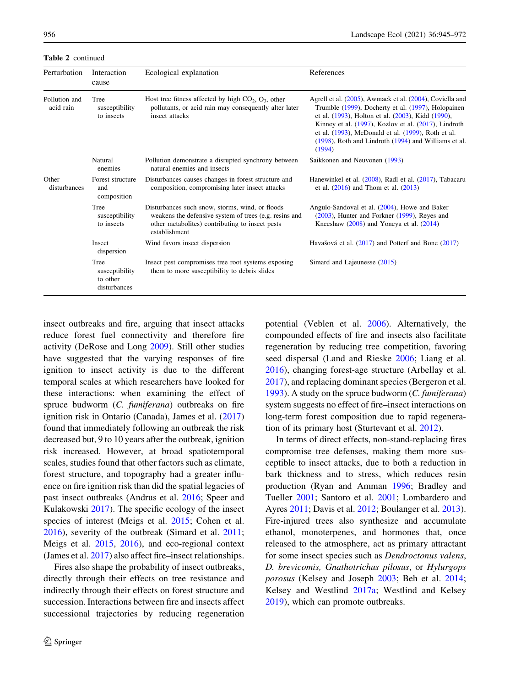Table 2 continued

| Perturbation               | Interaction<br>cause                               | Ecological explanation                                                                                                                                                        | References                                                                                                                                                                                                                                                                                                                                          |
|----------------------------|----------------------------------------------------|-------------------------------------------------------------------------------------------------------------------------------------------------------------------------------|-----------------------------------------------------------------------------------------------------------------------------------------------------------------------------------------------------------------------------------------------------------------------------------------------------------------------------------------------------|
| Pollution and<br>acid rain | Tree<br>susceptibility<br>to insects               | Host tree fitness affected by high $CO2$ , $O3$ , other<br>pollutants, or acid rain may consequently alter later<br>insect attacks                                            | Agrell et al. (2005), Awmack et al. (2004), Coviella and<br>Trumble (1999), Docherty et al. (1997), Holopainen<br>et al. (1993), Holton et al. (2003), Kidd (1990),<br>Kinney et al. (1997), Kozlov et al. (2017), Lindroth<br>et al. (1993), McDonald et al. (1999), Roth et al.<br>(1998), Roth and Lindroth (1994) and Williams et al.<br>(1994) |
|                            | Natural<br>enemies                                 | Pollution demonstrate a disrupted synchrony between<br>natural enemies and insects                                                                                            | Saikkonen and Neuvonen (1993)                                                                                                                                                                                                                                                                                                                       |
| Other<br>disturbances      | Forest structure<br>and<br>composition             | Disturbances causes changes in forest structure and<br>composition, compromising later insect attacks                                                                         | Hanewinkel et al. (2008), Radl et al. (2017), Tabacaru<br>et al. $(2016)$ and Thom et al. $(2013)$                                                                                                                                                                                                                                                  |
|                            | Tree<br>susceptibility<br>to insects               | Disturbances such snow, storms, wind, or floods<br>weakens the defensive system of trees (e.g. resins and<br>other metabolites) contributing to insect pests<br>establishment | Angulo-Sandoval et al. (2004), Howe and Baker<br>$(2003)$ , Hunter and Forkner $(1999)$ , Reyes and<br>Kneeshaw $(2008)$ and Yoneya et al. $(2014)$                                                                                                                                                                                                 |
|                            | Insect<br>dispersion                               | Wind favors insect dispersion                                                                                                                                                 | Havašová et al. (2017) and Potterf and Bone (2017)                                                                                                                                                                                                                                                                                                  |
|                            | Tree<br>susceptibility<br>to other<br>disturbances | Insect pest compromises tree root systems exposing<br>them to more susceptibility to debris slides                                                                            | Simard and Lajeunesse $(2015)$                                                                                                                                                                                                                                                                                                                      |

insect outbreaks and fire, arguing that insect attacks reduce forest fuel connectivity and therefore fire activity (DeRose and Long [2009](#page-19-0)). Still other studies have suggested that the varying responses of fire ignition to insect activity is due to the different temporal scales at which researchers have looked for these interactions: when examining the effect of spruce budworm (C. fumiferana) outbreaks on fire ignition risk in Ontario (Canada), James et al. ([2017\)](#page-21-0) found that immediately following an outbreak the risk decreased but, 9 to 10 years after the outbreak, ignition risk increased. However, at broad spatiotemporal scales, studies found that other factors such as climate, forest structure, and topography had a greater influence on fire ignition risk than did the spatial legacies of past insect outbreaks (Andrus et al. [2016](#page-17-0); Speer and Kulakowski [2017\)](#page-26-0). The specific ecology of the insect species of interest (Meigs et al. [2015;](#page-23-0) Cohen et al. [2016\)](#page-19-0), severity of the outbreak (Simard et al. [2011](#page-26-0); Meigs et al. [2015](#page-23-0), [2016\)](#page-23-0), and eco-regional context (James et al. [2017](#page-21-0)) also affect fire–insect relationships.

Fires also shape the probability of insect outbreaks, directly through their effects on tree resistance and indirectly through their effects on forest structure and succession. Interactions between fire and insects affect successional trajectories by reducing regeneration potential (Veblen et al. [2006](#page-26-0)). Alternatively, the compounded effects of fire and insects also facilitate regeneration by reducing tree competition, favoring seed dispersal (Land and Rieske [2006;](#page-22-0) Liang et al. [2016\)](#page-22-0), changing forest-age structure (Arbellay et al. [2017\)](#page-17-0), and replacing dominant species (Bergeron et al. [1993\)](#page-18-0). A study on the spruce budworm (C. fumiferana) system suggests no effect of fire–insect interactions on long-term forest composition due to rapid regeneration of its primary host (Sturtevant et al. [2012](#page-26-0)).

In terms of direct effects, non-stand-replacing fires compromise tree defenses, making them more susceptible to insect attacks, due to both a reduction in bark thickness and to stress, which reduces resin production (Ryan and Amman [1996;](#page-25-0) Bradley and Tueller [2001;](#page-18-0) Santoro et al. [2001](#page-25-0); Lombardero and Ayres [2011](#page-22-0); Davis et al. [2012;](#page-19-0) Boulanger et al. [2013](#page-18-0)). Fire-injured trees also synthesize and accumulate ethanol, monoterpenes, and hormones that, once released to the atmosphere, act as primary attractant for some insect species such as Dendroctonus valens, D. brevicomis, Gnathotrichus pilosus, or Hylurgops porosus (Kelsey and Joseph [2003](#page-21-0); Beh et al. [2014](#page-17-0); Kelsey and Westlind [2017a](#page-21-0); Westlind and Kelsey [2019\)](#page-27-0), which can promote outbreaks.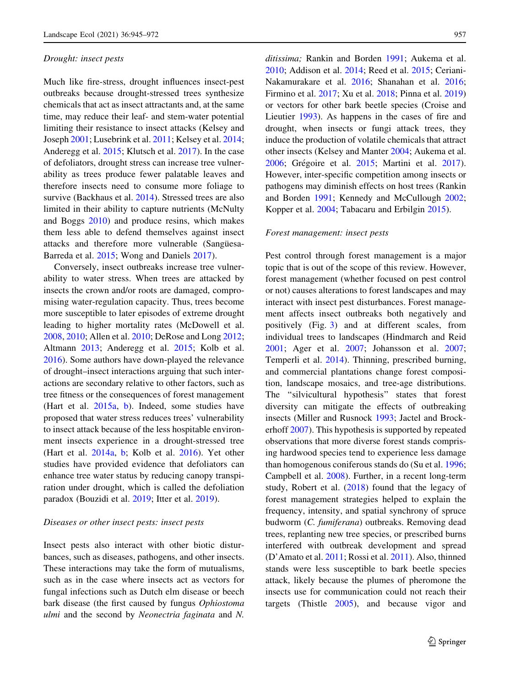#### Drought: insect pests

Much like fire-stress, drought influences insect-pest outbreaks because drought-stressed trees synthesize chemicals that act as insect attractants and, at the same time, may reduce their leaf- and stem-water potential limiting their resistance to insect attacks (Kelsey and Joseph [2001;](#page-21-0) Lusebrink et al. [2011](#page-23-0); Kelsey et al. [2014](#page-21-0); Anderegg et al. [2015;](#page-17-0) Klutsch et al. [2017](#page-22-0)). In the case of defoliators, drought stress can increase tree vulnerability as trees produce fewer palatable leaves and therefore insects need to consume more foliage to survive (Backhaus et al. [2014\)](#page-17-0). Stressed trees are also limited in their ability to capture nutrients (McNulty and Boggs [2010](#page-23-0)) and produce resins, which makes them less able to defend themselves against insect attacks and therefore more vulnerable (Sanguesa-Barreda et al. [2015;](#page-25-0) Wong and Daniels [2017](#page-27-0)).

Conversely, insect outbreaks increase tree vulnerability to water stress. When trees are attacked by insects the crown and/or roots are damaged, compromising water-regulation capacity. Thus, trees become more susceptible to later episodes of extreme drought leading to higher mortality rates (McDowell et al. [2008,](#page-23-0) [2010](#page-23-0); Allen et al. [2010](#page-17-0); DeRose and Long [2012](#page-19-0); Altmann [2013;](#page-17-0) Anderegg et al. [2015;](#page-17-0) Kolb et al. [2016\)](#page-22-0). Some authors have down-played the relevance of drought–insect interactions arguing that such interactions are secondary relative to other factors, such as tree fitness or the consequences of forest management (Hart et al. [2015a](#page-20-0), [b\)](#page-20-0). Indeed, some studies have proposed that water stress reduces trees' vulnerability to insect attack because of the less hospitable environment insects experience in a drought-stressed tree (Hart et al. [2014a,](#page-20-0) [b;](#page-20-0) Kolb et al. [2016](#page-22-0)). Yet other studies have provided evidence that defoliators can enhance tree water status by reducing canopy transpiration under drought, which is called the defoliation paradox (Bouzidi et al. [2019](#page-18-0); Itter et al. [2019\)](#page-21-0).

## Diseases or other insect pests: insect pests

Insect pests also interact with other biotic disturbances, such as diseases, pathogens, and other insects. These interactions may take the form of mutualisms, such as in the case where insects act as vectors for fungal infections such as Dutch elm disease or beech bark disease (the first caused by fungus Ophiostoma ulmi and the second by Neonectria faginata and N.

ditissima; Rankin and Borden [1991;](#page-24-0) Aukema et al. [2010;](#page-17-0) Addison et al. [2014;](#page-17-0) Reed et al. [2015;](#page-25-0) Ceriani-Nakamurakare et al. [2016](#page-18-0); Shanahan et al. [2016](#page-25-0); Firmino et al. [2017;](#page-19-0) Xu et al. [2018](#page-27-0); Pinna et al. [2019\)](#page-24-0) or vectors for other bark beetle species (Croise and Lieutier [1993\)](#page-19-0). As happens in the cases of fire and drought, when insects or fungi attack trees, they induce the production of volatile chemicals that attract other insects (Kelsey and Manter [2004](#page-21-0); Aukema et al. [2006;](#page-17-0) Grégoire et al. [2015](#page-20-0); Martini et al. [2017](#page-23-0)). However, inter-specific competition among insects or pathogens may diminish effects on host trees (Rankin and Borden [1991](#page-24-0); Kennedy and McCullough [2002](#page-21-0); Kopper et al. [2004](#page-22-0); Tabacaru and Erbilgin [2015\)](#page-26-0).

## Forest management: insect pests

Pest control through forest management is a major topic that is out of the scope of this review. However, forest management (whether focused on pest control or not) causes alterations to forest landscapes and may interact with insect pest disturbances. Forest management affects insect outbreaks both negatively and positively (Fig. [3\)](#page-5-0) and at different scales, from individual trees to landscapes (Hindmarch and Reid [2001;](#page-20-0) Ager et al. [2007;](#page-17-0) Johansson et al. [2007](#page-21-0); Temperli et al. [2014](#page-26-0)). Thinning, prescribed burning, and commercial plantations change forest composition, landscape mosaics, and tree-age distributions. The ''silvicultural hypothesis'' states that forest diversity can mitigate the effects of outbreaking insects (Miller and Rusnock [1993;](#page-23-0) Jactel and Brockerhoff [2007](#page-21-0)). This hypothesis is supported by repeated observations that more diverse forest stands comprising hardwood species tend to experience less damage than homogenous coniferous stands do (Su et al. [1996;](#page-26-0) Campbell et al. [2008](#page-18-0)). Further, in a recent long-term study, Robert et al. [\(2018](#page-25-0)) found that the legacy of forest management strategies helped to explain the frequency, intensity, and spatial synchrony of spruce budworm (C. fumiferana) outbreaks. Removing dead trees, replanting new tree species, or prescribed burns interfered with outbreak development and spread (D'Amato et al. [2011](#page-19-0); Rossi et al. [2011](#page-25-0)). Also, thinned stands were less susceptible to bark beetle species attack, likely because the plumes of pheromone the insects use for communication could not reach their targets (Thistle [2005](#page-26-0)), and because vigor and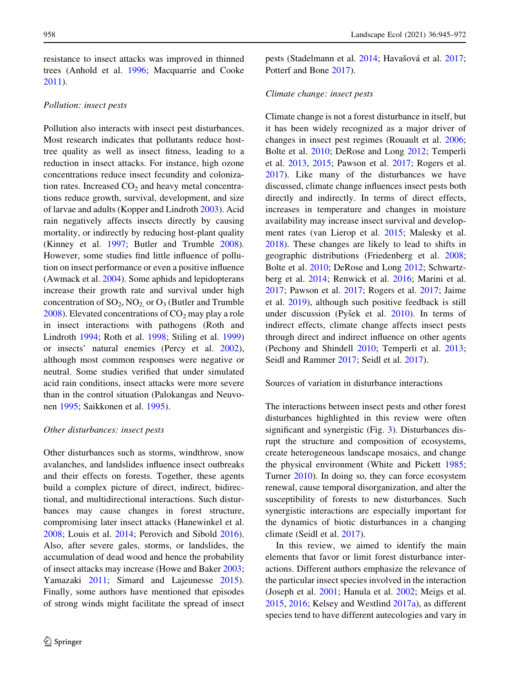resistance to insect attacks was improved in thinned trees (Anhold et al. [1996;](#page-17-0) Macquarrie and Cooke [2011\)](#page-23-0).

## Pollution: insect pests

Pollution also interacts with insect pest disturbances. Most research indicates that pollutants reduce hosttree quality as well as insect fitness, leading to a reduction in insect attacks. For instance, high ozone concentrations reduce insect fecundity and colonization rates. Increased  $CO<sub>2</sub>$  and heavy metal concentrations reduce growth, survival, development, and size of larvae and adults (Kopper and Lindroth [2003\)](#page-22-0). Acid rain negatively affects insects directly by causing mortality, or indirectly by reducing host-plant quality (Kinney et al. [1997;](#page-21-0) Butler and Trumble [2008](#page-18-0)). However, some studies find little influence of pollution on insect performance or even a positive influence (Awmack et al. [2004\)](#page-17-0). Some aphids and lepidopterans increase their growth rate and survival under high concentration of  $SO_2$ ,  $NO_2$  or  $O_3$  (Butler and Trumble [2008\)](#page-18-0). Elevated concentrations of  $CO<sub>2</sub>$  may play a role in insect interactions with pathogens (Roth and Lindroth [1994](#page-25-0); Roth et al. [1998](#page-25-0); Stiling et al. [1999\)](#page-26-0) or insects' natural enemies (Percy et al. [2002](#page-24-0)), although most common responses were negative or neutral. Some studies verified that under simulated acid rain conditions, insect attacks were more severe than in the control situation (Palokangas and Neuvonen [1995;](#page-24-0) Saikkonen et al. [1995](#page-25-0)).

## Other disturbances: insect pests

Other disturbances such as storms, windthrow, snow avalanches, and landslides influence insect outbreaks and their effects on forests. Together, these agents build a complex picture of direct, indirect, bidirectional, and multidirectional interactions. Such disturbances may cause changes in forest structure, compromising later insect attacks (Hanewinkel et al. [2008;](#page-20-0) Louis et al. [2014](#page-22-0); Perovich and Sibold [2016](#page-24-0)). Also, after severe gales, storms, or landslides, the accumulation of dead wood and hence the probability of insect attacks may increase (Howe and Baker [2003](#page-21-0); Yamazaki [2011](#page-27-0); Simard and Lajeunesse [2015](#page-25-0)). Finally, some authors have mentioned that episodes of strong winds might facilitate the spread of insect pests (Stadelmann et al. [2014](#page-26-0); Havašová et al. [2017](#page-20-0); Potterf and Bone [2017](#page-24-0)).

## Climate change: insect pests

Climate change is not a forest disturbance in itself, but it has been widely recognized as a major driver of changes in insect pest regimes (Rouault et al. [2006](#page-25-0); Bolte et al. [2010;](#page-18-0) DeRose and Long [2012](#page-19-0); Temperli et al. [2013](#page-26-0), [2015](#page-26-0); Pawson et al. [2017](#page-24-0); Rogers et al. [2017\)](#page-25-0). Like many of the disturbances we have discussed, climate change influences insect pests both directly and indirectly. In terms of direct effects, increases in temperature and changes in moisture availability may increase insect survival and development rates (van Lierop et al. [2015;](#page-26-0) Malesky et al. [2018\)](#page-23-0). These changes are likely to lead to shifts in geographic distributions (Friedenberg et al. [2008](#page-19-0); Bolte et al. [2010](#page-18-0); DeRose and Long [2012](#page-19-0); Schwartzberg et al. [2014](#page-25-0); Renwick et al. [2016;](#page-25-0) Marini et al. [2017;](#page-23-0) Pawson et al. [2017](#page-24-0); Rogers et al. [2017;](#page-25-0) Jaime et al. [2019](#page-21-0)), although such positive feedback is still under discussion (Pyšek et al. [2010\)](#page-24-0). In terms of indirect effects, climate change affects insect pests through direct and indirect influence on other agents (Pechony and Shindell [2010](#page-24-0); Temperli et al. [2013](#page-26-0); Seidl and Rammer [2017;](#page-25-0) Seidl et al. [2017](#page-25-0)).

## Sources of variation in disturbance interactions

The interactions between insect pests and other forest disturbances highlighted in this review were often significant and synergistic (Fig. [3](#page-5-0)). Disturbances disrupt the structure and composition of ecosystems, create heterogeneous landscape mosaics, and change the physical environment (White and Pickett [1985](#page-27-0); Turner [2010](#page-26-0)). In doing so, they can force ecosystem renewal, cause temporal disorganization, and alter the susceptibility of forests to new disturbances. Such synergistic interactions are especially important for the dynamics of biotic disturbances in a changing climate (Seidl et al. [2017\)](#page-25-0).

In this review, we aimed to identify the main elements that favor or limit forest disturbance interactions. Different authors emphasize the relevance of the particular insect species involved in the interaction (Joseph et al. [2001;](#page-21-0) Hanula et al. [2002](#page-20-0); Meigs et al. [2015,](#page-23-0) [2016;](#page-23-0) Kelsey and Westlind [2017a](#page-21-0)), as different species tend to have different autecologies and vary in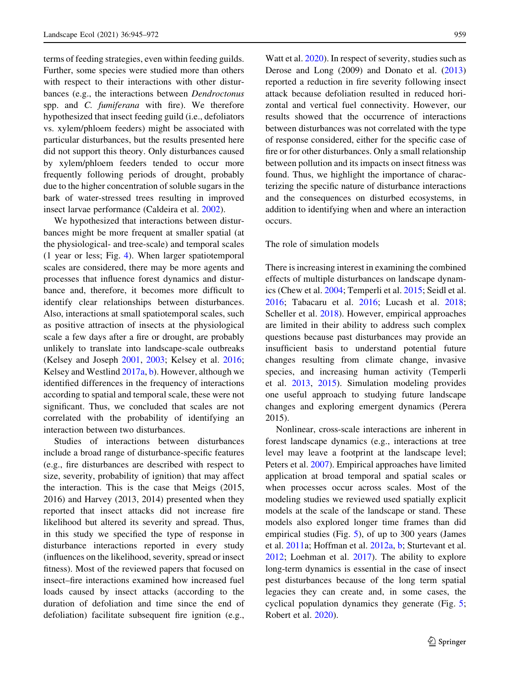terms of feeding strategies, even within feeding guilds. Further, some species were studied more than others with respect to their interactions with other disturbances (e.g., the interactions between Dendroctonus spp. and C. fumiferana with fire). We therefore hypothesized that insect feeding guild (i.e., defoliators vs. xylem/phloem feeders) might be associated with particular disturbances, but the results presented here did not support this theory. Only disturbances caused by xylem/phloem feeders tended to occur more frequently following periods of drought, probably due to the higher concentration of soluble sugars in the bark of water-stressed trees resulting in improved insect larvae performance (Caldeira et al. [2002](#page-18-0)).

We hypothesized that interactions between disturbances might be more frequent at smaller spatial (at the physiological- and tree-scale) and temporal scales (1 year or less; Fig. [4\)](#page-6-0). When larger spatiotemporal scales are considered, there may be more agents and processes that influence forest dynamics and disturbance and, therefore, it becomes more difficult to identify clear relationships between disturbances. Also, interactions at small spatiotemporal scales, such as positive attraction of insects at the physiological scale a few days after a fire or drought, are probably unlikely to translate into landscape-scale outbreaks (Kelsey and Joseph [2001,](#page-21-0) [2003;](#page-21-0) Kelsey et al. [2016](#page-21-0); Kelsey and Westlind [2017a](#page-21-0), [b\)](#page-21-0). However, although we identified differences in the frequency of interactions according to spatial and temporal scale, these were not significant. Thus, we concluded that scales are not correlated with the probability of identifying an interaction between two disturbances.

Studies of interactions between disturbances include a broad range of disturbance-specific features (e.g., fire disturbances are described with respect to size, severity, probability of ignition) that may affect the interaction. This is the case that Meigs (2015, 2016) and Harvey (2013, 2014) presented when they reported that insect attacks did not increase fire likelihood but altered its severity and spread. Thus, in this study we specified the type of response in disturbance interactions reported in every study (influences on the likelihood, severity, spread or insect fitness). Most of the reviewed papers that focused on insect–fire interactions examined how increased fuel loads caused by insect attacks (according to the duration of defoliation and time since the end of defoliation) facilitate subsequent fire ignition (e.g.,

Watt et al. [2020](#page-26-0)). In respect of severity, studies such as Derose and Long (2009) and Donato et al. ([2013\)](#page-19-0) reported a reduction in fire severity following insect attack because defoliation resulted in reduced horizontal and vertical fuel connectivity. However, our results showed that the occurrence of interactions between disturbances was not correlated with the type of response considered, either for the specific case of fire or for other disturbances. Only a small relationship between pollution and its impacts on insect fitness was found. Thus, we highlight the importance of characterizing the specific nature of disturbance interactions and the consequences on disturbed ecosystems, in addition to identifying when and where an interaction occurs.

## The role of simulation models

There is increasing interest in examining the combined effects of multiple disturbances on landscape dynamics (Chew et al. [2004](#page-18-0); Temperli et al. [2015](#page-26-0); Seidl et al. [2016;](#page-25-0) Tabacaru et al. [2016](#page-26-0); Lucash et al. [2018](#page-23-0); Scheller et al. [2018\)](#page-25-0). However, empirical approaches are limited in their ability to address such complex questions because past disturbances may provide an insufficient basis to understand potential future changes resulting from climate change, invasive species, and increasing human activity (Temperli et al. [2013](#page-26-0), [2015](#page-26-0)). Simulation modeling provides one useful approach to studying future landscape changes and exploring emergent dynamics (Perera 2015).

Nonlinear, cross-scale interactions are inherent in forest landscape dynamics (e.g., interactions at tree level may leave a footprint at the landscape level; Peters et al. [2007](#page-24-0)). Empirical approaches have limited application at broad temporal and spatial scales or when processes occur across scales. Most of the modeling studies we reviewed used spatially explicit models at the scale of the landscape or stand. These models also explored longer time frames than did empirical studies (Fig. [5\)](#page-7-0), of up to 300 years (James et al. [2011a](#page-21-0); Hoffman et al. [2012a,](#page-20-0) [b;](#page-20-0) Sturtevant et al. [2012;](#page-26-0) Loehman et al. [2017\)](#page-22-0). The ability to explore long-term dynamics is essential in the case of insect pest disturbances because of the long term spatial legacies they can create and, in some cases, the cyclical population dynamics they generate (Fig. [5](#page-7-0); Robert et al. [2020\)](#page-25-0).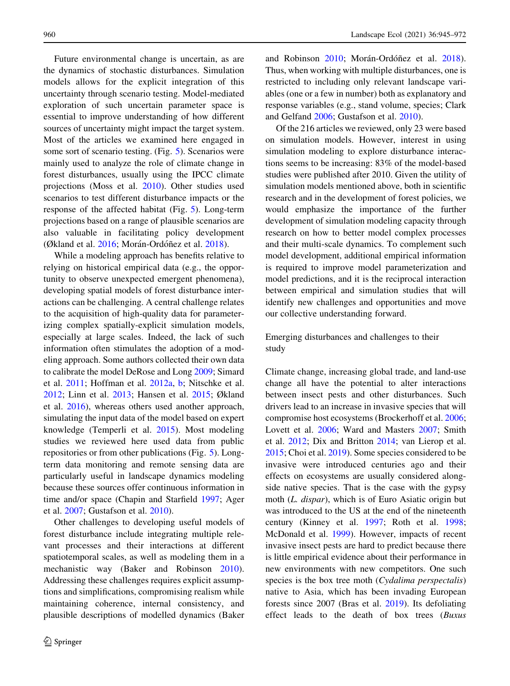Future environmental change is uncertain, as are the dynamics of stochastic disturbances. Simulation models allows for the explicit integration of this uncertainty through scenario testing. Model-mediated exploration of such uncertain parameter space is essential to improve understanding of how different sources of uncertainty might impact the target system. Most of the articles we examined here engaged in some sort of scenario testing. (Fig. [5](#page-7-0)). Scenarios were mainly used to analyze the role of climate change in forest disturbances, usually using the IPCC climate projections (Moss et al. [2010\)](#page-24-0). Other studies used scenarios to test different disturbance impacts or the response of the affected habitat (Fig. [5\)](#page-7-0). Long-term projections based on a range of plausible scenarios are also valuable in facilitating policy development (Økland et al. [2016;](#page-24-0) Morán-Ordóñez et al. [2018](#page-24-0)).

While a modeling approach has benefits relative to relying on historical empirical data (e.g., the opportunity to observe unexpected emergent phenomena), developing spatial models of forest disturbance interactions can be challenging. A central challenge relates to the acquisition of high-quality data for parameterizing complex spatially-explicit simulation models, especially at large scales. Indeed, the lack of such information often stimulates the adoption of a modeling approach. Some authors collected their own data to calibrate the model DeRose and Long [2009](#page-19-0); Simard et al. [2011;](#page-26-0) Hoffman et al. [2012a](#page-20-0), [b](#page-20-0); Nitschke et al. [2012;](#page-24-0) Linn et al. [2013;](#page-22-0) Hansen et al. [2015](#page-20-0); Økland et al. [2016\)](#page-24-0), whereas others used another approach, simulating the input data of the model based on expert knowledge (Temperli et al. [2015\)](#page-26-0). Most modeling studies we reviewed here used data from public repositories or from other publications (Fig. [5\)](#page-7-0). Longterm data monitoring and remote sensing data are particularly useful in landscape dynamics modeling because these sources offer continuous information in time and/or space (Chapin and Starfield [1997;](#page-18-0) Ager et al. [2007](#page-17-0); Gustafson et al. [2010\)](#page-20-0).

Other challenges to developing useful models of forest disturbance include integrating multiple relevant processes and their interactions at different spatiotemporal scales, as well as modeling them in a mechanistic way (Baker and Robinson [2010](#page-17-0)). Addressing these challenges requires explicit assumptions and simplifications, compromising realism while maintaining coherence, internal consistency, and plausible descriptions of modelled dynamics (Baker

and Robinson [2010;](#page-17-0) Morán-Ordóñez et al. [2018](#page-24-0)). Thus, when working with multiple disturbances, one is restricted to including only relevant landscape variables (one or a few in number) both as explanatory and response variables (e.g., stand volume, species; Clark and Gelfand [2006](#page-19-0); Gustafson et al. [2010\)](#page-20-0).

Of the 216 articles we reviewed, only 23 were based on simulation models. However, interest in using simulation modeling to explore disturbance interactions seems to be increasing: 83% of the model-based studies were published after 2010. Given the utility of simulation models mentioned above, both in scientific research and in the development of forest policies, we would emphasize the importance of the further development of simulation modeling capacity through research on how to better model complex processes and their multi-scale dynamics. To complement such model development, additional empirical information is required to improve model parameterization and model predictions, and it is the reciprocal interaction between empirical and simulation studies that will identify new challenges and opportunities and move our collective understanding forward.

Emerging disturbances and challenges to their study

Climate change, increasing global trade, and land-use change all have the potential to alter interactions between insect pests and other disturbances. Such drivers lead to an increase in invasive species that will compromise host ecosystems (Brockerhoff et al. [2006;](#page-18-0) Lovett et al. [2006](#page-22-0); Ward and Masters [2007](#page-26-0); Smith et al. [2012](#page-26-0); Dix and Britton [2014;](#page-19-0) van Lierop et al. [2015;](#page-26-0) Choi et al. [2019](#page-19-0)). Some species considered to be invasive were introduced centuries ago and their effects on ecosystems are usually considered alongside native species. That is the case with the gypsy moth (L. dispar), which is of Euro Asiatic origin but was introduced to the US at the end of the nineteenth century (Kinney et al. [1997](#page-21-0); Roth et al. [1998](#page-25-0); McDonald et al. [1999](#page-23-0)). However, impacts of recent invasive insect pests are hard to predict because there is little empirical evidence about their performance in new environments with new competitors. One such species is the box tree moth (Cydalima perspectalis) native to Asia, which has been invading European forests since 2007 (Bras et al. [2019](#page-18-0)). Its defoliating effect leads to the death of box trees (Buxus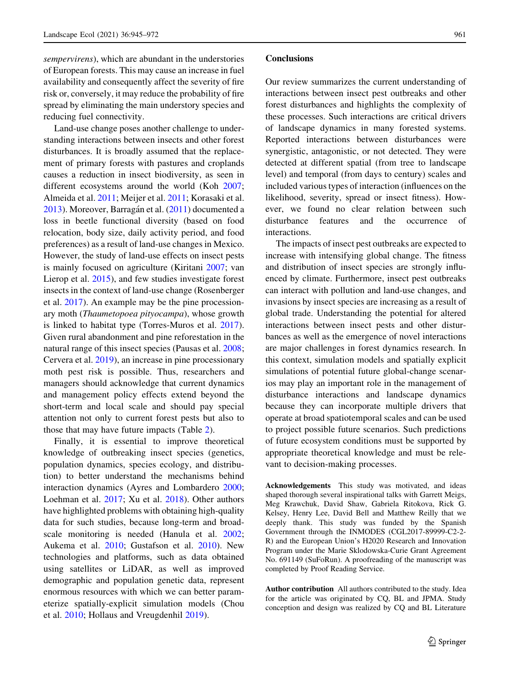sempervirens), which are abundant in the understories of European forests. This may cause an increase in fuel availability and consequently affect the severity of fire risk or, conversely, it may reduce the probability of fire spread by eliminating the main understory species and reducing fuel connectivity.

Land-use change poses another challenge to understanding interactions between insects and other forest disturbances. It is broadly assumed that the replacement of primary forests with pastures and croplands causes a reduction in insect biodiversity, as seen in different ecosystems around the world (Koh [2007](#page-22-0); Almeida et al. [2011;](#page-17-0) Meijer et al. [2011;](#page-23-0) Korasaki et al. [2013\)](#page-22-0). Moreover, Barragán et al. [\(2011](#page-17-0)) documented a loss in beetle functional diversity (based on food relocation, body size, daily activity period, and food preferences) as a result of land-use changes in Mexico. However, the study of land-use effects on insect pests is mainly focused on agriculture (Kiritani [2007](#page-22-0); van Lierop et al. [2015\)](#page-26-0), and few studies investigate forest insects in the context of land-use change (Rosenberger et al. [2017](#page-25-0)). An example may be the pine processionary moth (Thaumetopoea pityocampa), whose growth is linked to habitat type (Torres-Muros et al. [2017](#page-26-0)). Given rural abandonment and pine reforestation in the natural range of this insect species (Pausas et al. [2008](#page-24-0); Cervera et al. [2019](#page-18-0)), an increase in pine processionary moth pest risk is possible. Thus, researchers and managers should acknowledge that current dynamics and management policy effects extend beyond the short-term and local scale and should pay special attention not only to current forest pests but also to those that may have future impacts (Table [2\)](#page-9-0).

Finally, it is essential to improve theoretical knowledge of outbreaking insect species (genetics, population dynamics, species ecology, and distribution) to better understand the mechanisms behind interaction dynamics (Ayres and Lombardero [2000](#page-17-0); Loehman et al. [2017;](#page-22-0) Xu et al. [2018](#page-27-0)). Other authors have highlighted problems with obtaining high-quality data for such studies, because long-term and broadscale monitoring is needed (Hanula et al. [2002](#page-20-0); Aukema et al. [2010;](#page-17-0) Gustafson et al. [2010\)](#page-20-0). New technologies and platforms, such as data obtained using satellites or LiDAR, as well as improved demographic and population genetic data, represent enormous resources with which we can better parameterize spatially-explicit simulation models (Chou et al. [2010](#page-19-0); Hollaus and Vreugdenhil [2019\)](#page-20-0).

## **Conclusions**

Our review summarizes the current understanding of interactions between insect pest outbreaks and other forest disturbances and highlights the complexity of these processes. Such interactions are critical drivers of landscape dynamics in many forested systems. Reported interactions between disturbances were synergistic, antagonistic, or not detected. They were detected at different spatial (from tree to landscape level) and temporal (from days to century) scales and included various types of interaction (influences on the likelihood, severity, spread or insect fitness). However, we found no clear relation between such disturbance features and the occurrence of interactions.

The impacts of insect pest outbreaks are expected to increase with intensifying global change. The fitness and distribution of insect species are strongly influenced by climate. Furthermore, insect pest outbreaks can interact with pollution and land-use changes, and invasions by insect species are increasing as a result of global trade. Understanding the potential for altered interactions between insect pests and other disturbances as well as the emergence of novel interactions are major challenges in forest dynamics research. In this context, simulation models and spatially explicit simulations of potential future global-change scenarios may play an important role in the management of disturbance interactions and landscape dynamics because they can incorporate multiple drivers that operate at broad spatiotemporal scales and can be used to project possible future scenarios. Such predictions of future ecosystem conditions must be supported by appropriate theoretical knowledge and must be relevant to decision-making processes.

Acknowledgements This study was motivated, and ideas shaped thorough several inspirational talks with Garrett Meigs, Meg Krawchuk, David Shaw, Gabriela Ritokova, Rick G. Kelsey, Henry Lee, David Bell and Matthew Reilly that we deeply thank. This study was funded by the Spanish Government through the INMODES (CGL2017-89999-C2-2- R) and the European Union's H2020 Research and Innovation Program under the Marie Sklodowska-Curie Grant Agreement No. 691149 (SuFoRun). A proofreading of the manuscript was completed by Proof Reading Service.

Author contribution All authors contributed to the study. Idea for the article was originated by CQ, BL and JPMA. Study conception and design was realized by CQ and BL Literature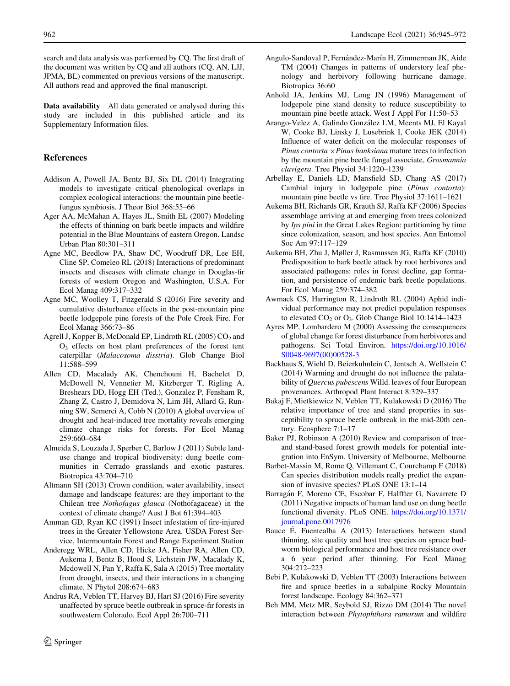<span id="page-17-0"></span>search and data analysis was performed by CQ. The first draft of the document was written by CQ and all authors (CQ, AN, LJJ, JPMA, BL) commented on previous versions of the manuscript. All authors read and approved the final manuscript.

Data availability All data generated or analysed during this study are included in this published article and its Supplementary Information files.

# References

- Addison A, Powell JA, Bentz BJ, Six DL (2014) Integrating models to investigate critical phenological overlaps in complex ecological interactions: the mountain pine beetlefungus symbiosis. J Theor Biol 368:55–66
- Ager AA, McMahan A, Hayes JL, Smith EL (2007) Modeling the effects of thinning on bark beetle impacts and wildfire potential in the Blue Mountains of eastern Oregon. Landsc Urban Plan 80:301–311
- Agne MC, Beedlow PA, Shaw DC, Woodruff DR, Lee EH, Cline SP, Comeleo RL (2018) Interactions of predominant insects and diseases with climate change in Douglas-fir forests of western Oregon and Washington, U.S.A. For Ecol Manag 409:317–332
- Agne MC, Woolley T, Fitzgerald S (2016) Fire severity and cumulative disturbance effects in the post-mountain pine beetle lodgepole pine forests of the Pole Creek Fire. For Ecol Manag 366:73–86
- Agrell J, Kopper B, McDonald EP, Lindroth RL (2005) CO<sub>2</sub> and  $O<sub>3</sub>$  effects on host plant preferences of the forest tent caterpillar (Malacosoma disstria). Glob Change Biol 11:588–599
- Allen CD, Macalady AK, Chenchouni H, Bachelet D, McDowell N, Vennetier M, Kitzberger T, Rigling A, Breshears DD, Hogg EH (Ted.), Gonzalez P, Fensham R, Zhang Z, Castro J, Demidova N, Lim JH, Allard G, Running SW, Semerci A, Cobb N (2010) A global overview of drought and heat-induced tree mortality reveals emerging climate change risks for forests. For Ecol Manag 259:660–684
- Almeida S, Louzada J, Sperber C, Barlow J (2011) Subtle landuse change and tropical biodiversity: dung beetle communities in Cerrado grasslands and exotic pastures. Biotropica 43:704–710
- Altmann SH (2013) Crown condition, water availability, insect damage and landscape features: are they important to the Chilean tree Nothofagus glauca (Nothofagaceae) in the context of climate change? Aust J Bot 61:394–403
- Amman GD, Ryan KC (1991) Insect infestation of fire-injured trees in the Greater Yellowstone Area. USDA Forest Service, Intermountain Forest and Range Experiment Station
- Anderegg WRL, Allen CD, Hicke JA, Fisher RA, Allen CD, Aukema J, Bentz B, Hood S, Lichstein JW, Macalady K, Mcdowell N, Pan Y, Raffa K, Sala A (2015) Tree mortality from drought, insects, and their interactions in a changing climate. N Phytol 208:674–683
- Andrus RA, Veblen TT, Harvey BJ, Hart SJ (2016) Fire severity unaffected by spruce beetle outbreak in spruce-fir forests in southwestern Colorado. Ecol Appl 26:700–711
- Anhold JA, Jenkins MJ, Long JN (1996) Management of lodgepole pine stand density to reduce susceptibility to mountain pine beetle attack. West J Appl For 11:50–53
- Arango-Velez A, Galindo González LM, Meents MJ, El Kayal W, Cooke BJ, Linsky J, Lusebrink I, Cooke JEK (2014) Influence of water deficit on the molecular responses of Pinus contorta  $\times$  Pinus banksiana mature trees to infection by the mountain pine beetle fungal associate, Grosmannia clavigera. Tree Physiol 34:1220–1239
- Arbellay E, Daniels LD, Mansfield SD, Chang AS (2017) Cambial injury in lodgepole pine (Pinus contorta): mountain pine beetle vs fire. Tree Physiol 37:1611–1621
- Aukema BH, Richards GR, Krauth SJ, Raffa KF (2006) Species assemblage arriving at and emerging from trees colonized by Ips pini in the Great Lakes Region: partitioning by time since colonization, season, and host species. Ann Entomol Soc Am 97:117–129
- Aukema BH, Zhu J, Møller J, Rasmussen JG, Raffa KF (2010) Predisposition to bark beetle attack by root herbivores and associated pathogens: roles in forest decline, gap formation, and persistence of endemic bark beetle populations. For Ecol Manag 259:374–382
- Awmack CS, Harrington R, Lindroth RL (2004) Aphid individual performance may not predict population responses to elevated  $CO<sub>2</sub>$  or  $O<sub>3</sub>$ . Glob Change Biol 10:1414–1423
- Ayres MP, Lombardero M (2000) Assessing the consequences of global change for forest disturbance from herbivores and pathogens. Sci Total Environ. [https://doi.org/10.1016/](https://doi.org/10.1016/S0048-9697(00)00528-3) [S0048-9697\(00\)00528-3](https://doi.org/10.1016/S0048-9697(00)00528-3)
- Backhaus S, Wiehl D, Beierkuhnlein C, Jentsch A, Wellstein C (2014) Warming and drought do not influence the palatability of Quercus pubescens Willd. leaves of four European provenances. Arthropod Plant Interact 8:329–337
- Bakaj F, Mietkiewicz N, Veblen TT, Kulakowski D (2016) The relative importance of tree and stand properties in susceptibility to spruce beetle outbreak in the mid-20th century. Ecosphere 7:1–17
- Baker PJ, Robinson A (2010) Review and comparison of treeand stand-based forest growth models for potential integration into EnSym. University of Melbourne, Melbourne
- Barbet-Massin M, Rome Q, Villemant C, Courchamp F (2018) Can species distribution models really predict the expansion of invasive species? PLoS ONE 13:1–14
- Barragán F, Moreno CE, Escobar F, Halffter G, Navarrete D (2011) Negative impacts of human land use on dung beetle functional diversity. PLoS ONE. [https://doi.org/10.1371/](https://doi.org/10.1371/journal.pone.0017976) [journal.pone.0017976](https://doi.org/10.1371/journal.pone.0017976)
- Bauce  $\hat{E}$ , Fuentealba A (2013) Interactions between stand thinning, site quality and host tree species on spruce budworm biological performance and host tree resistance over a 6 year period after thinning. For Ecol Manag 304:212–223
- Bebi P, Kulakowski D, Veblen TT (2003) Interactions between fire and spruce beetles in a subalpine Rocky Mountain forest landscape. Ecology 84:362–371
- Beh MM, Metz MR, Seybold SJ, Rizzo DM (2014) The novel interaction between Phytophthora ramorum and wildfire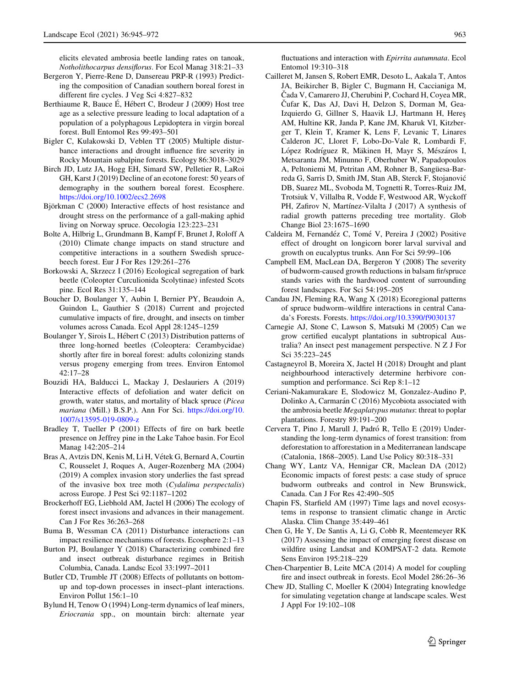<span id="page-18-0"></span>elicits elevated ambrosia beetle landing rates on tanoak, Notholithocarpus densiflorus. For Ecol Manag 318:21–33

- Bergeron Y, Pierre-Rene D, Dansereau PRP-R (1993) Predicting the composition of Canadian southern boreal forest in different fire cycles. J Veg Sci 4:827–832
- Berthiaume R, Bauce É, Hébert C, Brodeur J (2009) Host tree age as a selective pressure leading to local adaptation of a population of a polyphagous Lepidoptera in virgin boreal forest. Bull Entomol Res 99:493–501
- Bigler C, Kulakowski D, Veblen TT (2005) Multiple disturbance interactions and drought influence fire severity in Rocky Mountain subalpine forests. Ecology 86:3018–3029
- Birch JD, Lutz JA, Hogg EH, Simard SW, Pelletier R, LaRoi GH, Karst J (2019) Decline of an ecotone forest: 50 years of demography in the southern boreal forest. Ecosphere. <https://doi.org/10.1002/ecs2.2698>
- Björkman C (2000) Interactive effects of host resistance and drought stress on the performance of a gall-making aphid living on Norway spruce. Oecologia 123:223–231
- Bolte A, Hilbrig L, Grundmann B, Kampf F, Brunet J, Roloff A (2010) Climate change impacts on stand structure and competitive interactions in a southern Swedish sprucebeech forest. Eur J For Res 129:261–276
- Borkowski A, Skrzecz I (2016) Ecological segregation of bark beetle (Coleopter Curculionida Scolytinae) infested Scots pine. Ecol Res 31:135–144
- Boucher D, Boulanger Y, Aubin I, Bernier PY, Beaudoin A, Guindon L, Gauthier S (2018) Current and projected cumulative impacts of fire, drought, and insects on timber volumes across Canada. Ecol Appl 28:1245–1259
- Boulanger Y, Sirois L, Hébert C (2013) Distribution patterns of three long-horned beetles (Coleoptera: Cerambycidae) shortly after fire in boreal forest: adults colonizing stands versus progeny emerging from trees. Environ Entomol 42:17–28
- Bouzidi HA, Balducci L, Mackay J, Deslauriers A (2019) Interactive effects of defoliation and water deficit on growth, water status, and mortality of black spruce (Picea mariana (Mill.) B.S.P.). Ann For Sci. [https://doi.org/10.](https://doi.org/10.1007/s13595-019-0809-z) [1007/s13595-019-0809-z](https://doi.org/10.1007/s13595-019-0809-z)
- Bradley T, Tueller P (2001) Effects of fire on bark beetle presence on Jeffrey pine in the Lake Tahoe basin. For Ecol Manag 142:205–214
- Bras A, Avtzis DN, Kenis M, Li H, Vétek G, Bernard A, Courtin C, Rousselet J, Roques A, Auger-Rozenberg MA (2004) (2019) A complex invasion story underlies the fast spread of the invasive box tree moth (Cydalima perspectalis) across Europe. J Pest Sci 92:1187–1202
- Brockerhoff EG, Liebhold AM, Jactel H (2006) The ecology of forest insect invasions and advances in their management. Can J For Res 36:263–268
- Buma B, Wessman CA (2011) Disturbance interactions can impact resilience mechanisms of forests. Ecosphere 2:1–13
- Burton PJ, Boulanger Y (2018) Characterizing combined fire and insect outbreak disturbance regimes in British Columbia, Canada. Landsc Ecol 33:1997–2011
- Butler CD, Trumble JT (2008) Effects of pollutants on bottomup and top-down processes in insect–plant interactions. Environ Pollut 156:1–10
- Bylund H, Tenow O (1994) Long-term dynamics of leaf miners, Eriocrania spp., on mountain birch: alternate year

fluctuations and interaction with Epirrita autumnata. Ecol Entomol 19:310–318

- Cailleret M, Jansen S, Robert EMR, Desoto L, Aakala T, Antos JA, Beikircher B, Bigler C, Bugmann H, Caccianiga M, Cada V, Camarero JJ, Cherubini P, Cochard H, Coyea MR, Cufar K, Das AJ, Davi H, Delzon S, Dorman M, Gea-Izquierdo G, Gillner S, Haavik LJ, Hartmann H, Heres¸ AM, Hultine KR, Janda P, Kane JM, Kharuk VI, Kitzberger T, Klein T, Kramer K, Lens F, Levanic T, Linares Calderon JC, Lloret F, Lobo-Do-Vale R, Lombardi F, López Rodríguez R, Mäkinen H, Mayr S, Mészáros I, Metsaranta JM, Minunno F, Oberhuber W, Papadopoulos A, Peltoniemi M, Petritan AM, Rohner B, Sangüesa-Barreda G, Sarris D, Smith JM, Stan AB, Sterck F, Stojanovic´ DB, Suarez ML, Svoboda M, Tognetti R, Torres-Ruiz JM, Trotsiuk V, Villalba R, Vodde F, Westwood AR, Wyckoff PH, Zafirov N, Martínez-Vilalta J (2017) A synthesis of radial growth patterns preceding tree mortality. Glob Change Biol 23:1675–1690
- Caldeira M, Fernandéz C, Tomé V, Pereira J (2002) Positive effect of drought on longicorn borer larval survival and growth on eucalyptus trunks. Ann For Sci 59:99–106
- Campbell EM, MacLean DA, Bergeron Y (2008) The severity of budworm-caused growth reductions in balsam fir/spruce stands varies with the hardwood content of surrounding forest landscapes. For Sci 54:195–205
- Candau JN, Fleming RA, Wang X (2018) Ecoregional patterns of spruce budworm–wildfire interactions in central Canada's Forests. Forests. <https://doi.org/10.3390/f9030137>
- Carnegie AJ, Stone C, Lawson S, Matsuki M (2005) Can we grow certified eucalypt plantations in subtropical Australia? An insect pest management perspective. N Z J For Sci 35:223–245
- Castagneyrol B, Moreira X, Jactel H (2018) Drought and plant neighbourhood interactively determine herbivore consumption and performance. Sci Rep 8:1–12
- Ceriani-Nakamurakare E, Slodowicz M, Gonzalez-Audino P, Dolinko A, Carmarán C (2016) Mycobiota associated with the ambrosia beetle Megaplatypus mutatus: threat to poplar plantations. Forestry 89:191–200
- Cervera T, Pino J, Marull J, Padró R, Tello E (2019) Understanding the long-term dynamics of forest transition: from deforestation to afforestation in a Mediterranean landscape (Catalonia, 1868–2005). Land Use Policy 80:318–331
- Chang WY, Lantz VA, Hennigar CR, Maclean DA (2012) Economic impacts of forest pests: a case study of spruce budworm outbreaks and control in New Brunswick, Canada. Can J For Res 42:490–505
- Chapin FS, Starfield AM (1997) Time lags and novel ecosystems in response to transient climatic change in Arctic Alaska. Clim Change 35:449–461
- Chen G, He Y, De Santis A, Li G, Cobb R, Meentemeyer RK (2017) Assessing the impact of emerging forest disease on wildfire using Landsat and KOMPSAT-2 data. Remote Sens Environ 195:218–229
- Chen-Charpentier B, Leite MCA (2014) A model for coupling fire and insect outbreak in forests. Ecol Model 286:26–36
- Chew JD, Stalling C, Moeller K (2004) Integrating knowledge for simulating vegetation change at landscape scales. West J Appl For 19:102–108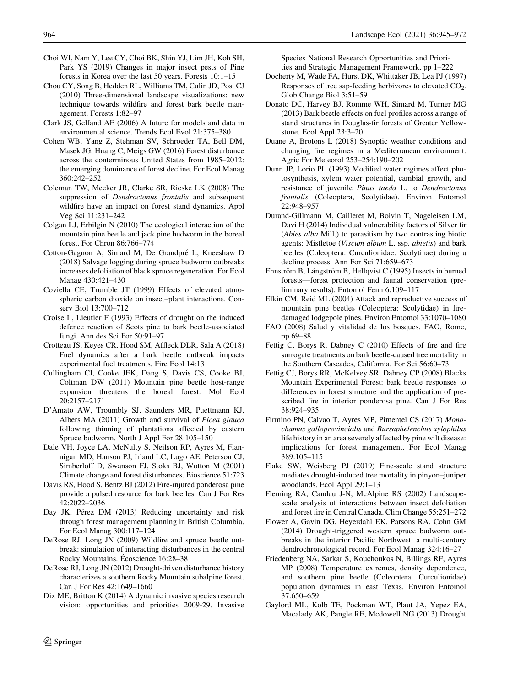- <span id="page-19-0"></span>Choi WI, Nam Y, Lee CY, Choi BK, Shin YJ, Lim JH, Koh SH, Park YS (2019) Changes in major insect pests of Pine forests in Korea over the last 50 years. Forests 10:1–15
- Chou CY, Song B, Hedden RL, Williams TM, Culin JD, Post CJ (2010) Three-dimensional landscape visualizations: new technique towards wildfire and forest bark beetle management. Forests 1:82–97
- Clark JS, Gelfand AE (2006) A future for models and data in environmental science. Trends Ecol Evol 21:375–380
- Cohen WB, Yang Z, Stehman SV, Schroeder TA, Bell DM, Masek JG, Huang C, Meigs GW (2016) Forest disturbance across the conterminous United States from 1985–2012: the emerging dominance of forest decline. For Ecol Manag 360:242–252
- Coleman TW, Meeker JR, Clarke SR, Rieske LK (2008) The suppression of Dendroctonus frontalis and subsequent wildfire have an impact on forest stand dynamics. Appl Veg Sci 11:231–242
- Colgan LJ, Erbilgin N (2010) The ecological interaction of the mountain pine beetle and jack pine budworm in the boreal forest. For Chron 86:766–774
- Cotton-Gagnon A, Simard M, De Grandpré L, Kneeshaw D (2018) Salvage logging during spruce budworm outbreaks increases defoliation of black spruce regeneration. For Ecol Manag 430:421–430
- Coviella CE, Trumble JT (1999) Effects of elevated atmospheric carbon dioxide on insect–plant interactions. Conserv Biol 13:700–712
- Croise L, Lieutier F (1993) Effects of drought on the induced defence reaction of Scots pine to bark beetle-associated fungi. Ann des Sci For 50:91–97
- Crotteau JS, Keyes CR, Hood SM, Affleck DLR, Sala A (2018) Fuel dynamics after a bark beetle outbreak impacts experimental fuel treatments. Fire Ecol 14:13
- Cullingham CI, Cooke JEK, Dang S, Davis CS, Cooke BJ, Coltman DW (2011) Mountain pine beetle host-range expansion threatens the boreal forest. Mol Ecol 20:2157–2171
- D'Amato AW, Troumbly SJ, Saunders MR, Puettmann KJ, Albers MA (2011) Growth and survival of Picea glauca following thinning of plantations affected by eastern Spruce budworm. North J Appl For 28:105–150
- Dale VH, Joyce LA, McNulty S, Neilson RP, Ayres M, Flannigan MD, Hanson PJ, Irland LC, Lugo AE, Peterson CJ, Simberloff D, Swanson FJ, Stoks BJ, Wotton M (2001) Climate change and forest disturbances. Bioscience 51:723
- Davis RS, Hood S, Bentz BJ (2012) Fire-injured ponderosa pine provide a pulsed resource for bark beetles. Can J For Res 42:2022–2036
- Day JK, Pérez DM (2013) Reducing uncertainty and risk through forest management planning in British Columbia. For Ecol Manag 300:117–124
- DeRose RJ, Long JN (2009) Wildfire and spruce beetle outbreak: simulation of interacting disturbances in the central Rocky Mountains. Ecoscience 16:28–38
- DeRose RJ, Long JN (2012) Drought-driven disturbance history characterizes a southern Rocky Mountain subalpine forest. Can J For Res 42:1649–1660
- Dix ME, Britton K (2014) A dynamic invasive species research vision: opportunities and priorities 2009-29. Invasive

Species National Research Opportunities and Priorities and Strategic Management Framework, pp 1–222

- Docherty M, Wade FA, Hurst DK, Whittaker JB, Lea PJ (1997) Responses of tree sap-feeding herbivores to elevated  $CO<sub>2</sub>$ . Glob Change Biol 3:51–59
- Donato DC, Harvey BJ, Romme WH, Simard M, Turner MG (2013) Bark beetle effects on fuel profiles across a range of stand structures in Douglas-fir forests of Greater Yellowstone. Ecol Appl 23:3–20
- Duane A, Brotons L (2018) Synoptic weather conditions and changing fire regimes in a Mediterranean environment. Agric For Meteorol 253–254:190–202
- Dunn JP, Lorio PL (1993) Modified water regimes affect photosynthesis, xylem water potential, cambial growth, and resistance of juvenile Pinus taeda L. to Dendroctonus frontalis (Coleoptera, Scolytidae). Environ Entomol 22:948–957
- Durand-Gillmann M, Cailleret M, Boivin T, Nageleisen LM, Davi H (2014) Individual vulnerability factors of Silver fir (Abies alba Mill.) to parasitism by two contrasting biotic agents: Mistletoe (Viscum album L. ssp. abietis) and bark beetles (Coleoptera: Curculionidae: Scolytinae) during a decline process. Ann For Sci 71:659–673
- Ehnström B, Långström B, Hellqvist C (1995) Insects in burned forests—forest protection and faunal conservation (preliminary results). Entomol Fenn 6:109–117
- Elkin CM, Reid ML (2004) Attack and reproductive success of mountain pine beetles (Coleoptera: Scolytidae) in firedamaged lodgepole pines. Environ Entomol 33:1070–1080
- FAO (2008) Salud y vitalidad de los bosques. FAO, Rome, pp 69–88
- Fettig C, Borys R, Dabney C (2010) Effects of fire and fire surrogate treatments on bark beetle-caused tree mortality in the Southern Cascades, California. For Sci 56:60–73
- Fettig CJ, Borys RR, McKelvey SR, Dabney CP (2008) Blacks Mountain Experimental Forest: bark beetle responses to differences in forest structure and the application of prescribed fire in interior ponderosa pine. Can J For Res 38:924–935
- Firmino PN, Calvao T, Ayres MP, Pimentel CS (2017) Monochamus galloprovincialis and Bursaphelenchus xylophilus life history in an area severely affected by pine wilt disease: implications for forest management. For Ecol Manag 389:105–115
- Flake SW, Weisberg PJ (2019) Fine-scale stand structure mediates drought-induced tree mortality in pinyon–juniper woodlands. Ecol Appl 29:1–13
- Fleming RA, Candau J-N, McAlpine RS (2002) Landscapescale analysis of interactions between insect defoliation and forest fire in Central Canada. Clim Change 55:251–272
- Flower A, Gavin DG, Heyerdahl EK, Parsons RA, Cohn GM (2014) Drought-triggered western spruce budworm outbreaks in the interior Pacific Northwest: a multi-century dendrochronological record. For Ecol Manag 324:16–27
- Friedenberg NA, Sarkar S, Kouchoukos N, Billings RF, Ayres MP (2008) Temperature extremes, density dependence, and southern pine beetle (Coleoptera: Curculionidae) population dynamics in east Texas. Environ Entomol 37:650–659
- Gaylord ML, Kolb TE, Pockman WT, Plaut JA, Yepez EA, Macalady AK, Pangle RE, Mcdowell NG (2013) Drought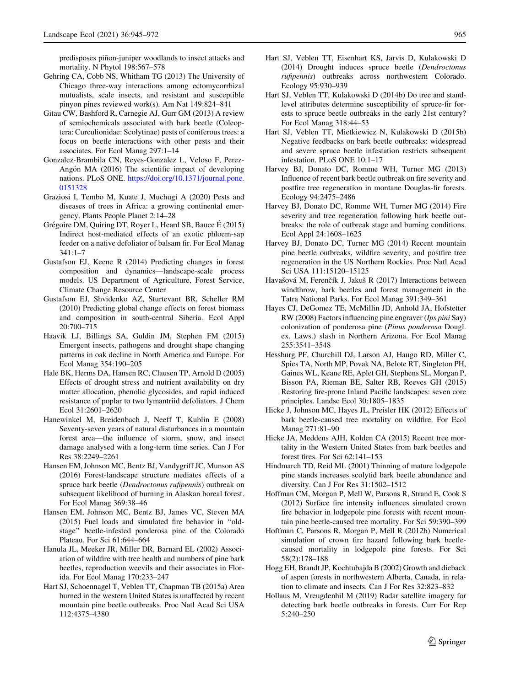<span id="page-20-0"></span>predisposes piñon-juniper woodlands to insect attacks and mortality. N Phytol 198:567–578

- Gehring CA, Cobb NS, Whitham TG (2013) The University of Chicago three-way interactions among ectomycorrhizal mutualists, scale insects, and resistant and susceptible pinyon pines reviewed work(s). Am Nat 149:824–841
- Gitau CW, Bashford R, Carnegie AJ, Gurr GM (2013) A review of semiochemicals associated with bark beetle (Coleoptera: Curculionidae: Scolytinae) pests of coniferous trees: a focus on beetle interactions with other pests and their associates. For Ecol Manag 297:1–14
- Gonzalez-Brambila CN, Reyes-Gonzalez L, Veloso F, Perez-Angón MA (2016) The scientific impact of developing nations. PLoS ONE. [https://doi.org/10.1371/journal.pone.](https://doi.org/10.1371/journal.pone.0151328) [0151328](https://doi.org/10.1371/journal.pone.0151328)
- Graziosi I, Tembo M, Kuate J, Muchugi A (2020) Pests and diseases of trees in Africa: a growing continental emergency. Plants People Planet 2:14–28
- Grégoire DM, Quiring DT, Royer L, Heard SB, Bauce E (2015) Indirect host-mediated effects of an exotic phloem-sap feeder on a native defoliator of balsam fir. For Ecol Manag 341:1–7
- Gustafson EJ, Keene R (2014) Predicting changes in forest composition and dynamics—landscape-scale process models. US Department of Agriculture, Forest Service, Climate Change Resource Center
- Gustafson EJ, Shvidenko AZ, Sturtevant BR, Scheller RM (2010) Predicting global change effects on forest biomass and composition in south-central Siberia. Ecol Appl 20:700–715
- Haavik LJ, Billings SA, Guldin JM, Stephen FM (2015) Emergent insects, pathogens and drought shape changing patterns in oak decline in North America and Europe. For Ecol Manag 354:190–205
- Hale BK, Herms DA, Hansen RC, Clausen TP, Arnold D (2005) Effects of drought stress and nutrient availability on dry matter allocation, phenolic glycosides, and rapid induced resistance of poplar to two lymantriid defoliators. J Chem Ecol 31:2601–2620
- Hanewinkel M, Breidenbach J, Neeff T, Kublin E (2008) Seventy-seven years of natural disturbances in a mountain forest area—the influence of storm, snow, and insect damage analysed with a long-term time series. Can J For Res 38:2249–2261
- Hansen EM, Johnson MC, Bentz BJ, Vandygriff JC, Munson AS (2016) Forest-landscape structure mediates effects of a spruce bark beetle (Dendroctonus rufipennis) outbreak on subsequent likelihood of burning in Alaskan boreal forest. For Ecol Manag 369:38–46
- Hansen EM, Johnson MC, Bentz BJ, James VC, Steven MA (2015) Fuel loads and simulated fire behavior in ''oldstage'' beetle-infested ponderosa pine of the Colorado Plateau. For Sci 61:644–664
- Hanula JL, Meeker JR, Miller DR, Barnard EL (2002) Association of wildfire with tree health and numbers of pine bark beetles, reproduction weevils and their associates in Florida. For Ecol Manag 170:233–247
- Hart SJ, Schoennagel T, Veblen TT, Chapman TB (2015a) Area burned in the western United States is unaffected by recent mountain pine beetle outbreaks. Proc Natl Acad Sci USA 112:4375–4380
- Hart SJ, Veblen TT, Eisenhart KS, Jarvis D, Kulakowski D (2014) Drought induces spruce beetle (Dendroctonus rufipennis) outbreaks across northwestern Colorado. Ecology 95:930–939
- Hart SJ, Veblen TT, Kulakowski D (2014b) Do tree and standlevel attributes determine susceptibility of spruce-fir forests to spruce beetle outbreaks in the early 21st century? For Ecol Manag 318:44–53
- Hart SJ, Veblen TT, Mietkiewicz N, Kulakowski D (2015b) Negative feedbacks on bark beetle outbreaks: widespread and severe spruce beetle infestation restricts subsequent infestation. PLoS ONE 10:1–17
- Harvey BJ, Donato DC, Romme WH, Turner MG (2013) Influence of recent bark beetle outbreak on fire severity and postfire tree regeneration in montane Douglas-fir forests. Ecology 94:2475–2486
- Harvey BJ, Donato DC, Romme WH, Turner MG (2014) Fire severity and tree regeneration following bark beetle outbreaks: the role of outbreak stage and burning conditions. Ecol Appl 24:1608–1625
- Harvey BJ, Donato DC, Turner MG (2014) Recent mountain pine beetle outbreaks, wildfire severity, and postfire tree regeneration in the US Northern Rockies. Proc Natl Acad Sci USA 111:15120–15125
- Havašová M, Ferenčík J, Jakuš R (2017) Interactions between windthrow, bark beetles and forest management in the Tatra National Parks. For Ecol Manag 391:349–361
- Hayes CJ, DeGomez TE, McMillin JD, Anhold JA, Hofstetter RW (2008) Factors influencing pine engraver (Ips pini Say) colonization of ponderosa pine (Pinus ponderosa Dougl. ex. Laws.) slash in Northern Arizona. For Ecol Manag 255:3541–3548
- Hessburg PF, Churchill DJ, Larson AJ, Haugo RD, Miller C, Spies TA, North MP, Povak NA, Belote RT, Singleton PH, Gaines WL, Keane RE, Aplet GH, Stephens SL, Morgan P, Bisson PA, Rieman BE, Salter RB, Reeves GH (2015) Restoring fire-prone Inland Pacific landscapes: seven core principles. Landsc Ecol 30:1805–1835
- Hicke J, Johnson MC, Hayes JL, Preisler HK (2012) Effects of bark beetle-caused tree mortality on wildfire. For Ecol Manag 271:81–90
- Hicke JA, Meddens AJH, Kolden CA (2015) Recent tree mortality in the Western United States from bark beetles and forest fires. For Sci 62:141–153
- Hindmarch TD, Reid ML (2001) Thinning of mature lodgepole pine stands increases scolytid bark beetle abundance and diversity. Can J For Res 31:1502–1512
- Hoffman CM, Morgan P, Mell W, Parsons R, Strand E, Cook S (2012) Surface fire intensity influences simulated crown fire behavior in lodgepole pine forests with recent mountain pine beetle-caused tree mortality. For Sci 59:390–399
- Hoffman C, Parsons R, Morgan P, Mell R (2012b) Numerical simulation of crown fire hazard following bark beetlecaused mortality in lodgepole pine forests. For Sci 58(2):178–188
- Hogg EH, Brandt JP, Kochtubajda B (2002) Growth and dieback of aspen forests in northwestern Alberta, Canada, in relation to climate and insects. Can J For Res 32:823–832
- Hollaus M, Vreugdenhil M (2019) Radar satellite imagery for detecting bark beetle outbreaks in forests. Curr For Rep 5:240–250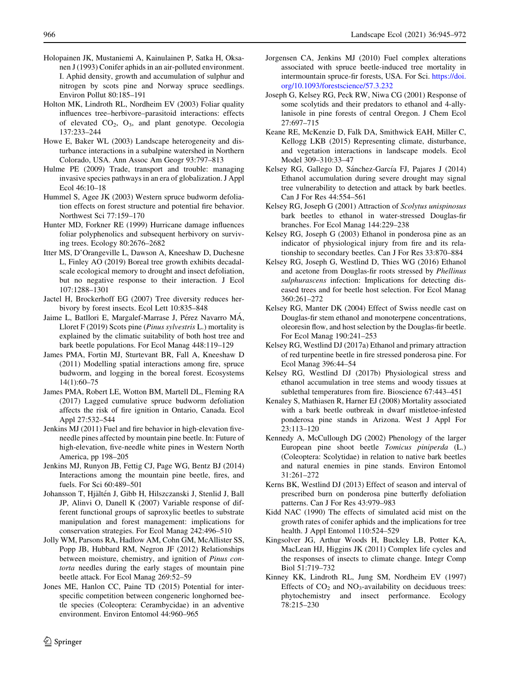- <span id="page-21-0"></span>Holopainen JK, Mustaniemi A, Kainulainen P, Satka H, Oksanen J (1993) Conifer aphids in an air-polluted environment. I. Aphid density, growth and accumulation of sulphur and nitrogen by scots pine and Norway spruce seedlings. Environ Pollut 80:185–191
- Holton MK, Lindroth RL, Nordheim EV (2003) Foliar quality influences tree–herbivore–parasitoid interactions: effects of elevated  $CO<sub>2</sub>$ ,  $O<sub>3</sub>$ , and plant genotype. Oecologia 137:233–244
- Howe E, Baker WL (2003) Landscape heterogeneity and disturbance interactions in a subalpine watershed in Northern Colorado, USA. Ann Assoc Am Geogr 93:797–813
- Hulme PE (2009) Trade, transport and trouble: managing invasive species pathways in an era of globalization. J Appl Ecol 46:10–18
- Hummel S, Agee JK (2003) Western spruce budworm defoliation effects on forest structure and potential fire behavior. Northwest Sci 77:159–170
- Hunter MD, Forkner RE (1999) Hurricane damage influences foliar polyphenolics and subsequent herbivory on surviving trees. Ecology 80:2676–2682
- Itter MS, D'Orangeville L, Dawson A, Kneeshaw D, Duchesne L, Finley AO (2019) Boreal tree growth exhibits decadalscale ecological memory to drought and insect defoliation, but no negative response to their interaction. J Ecol 107:1288–1301
- Jactel H, Brockerhoff EG (2007) Tree diversity reduces herbivory by forest insects. Ecol Lett 10:835–848
- Jaime L, Batllori E, Margalef-Marrase J, Pérez Navarro MÁ, Lloret F (2019) Scots pine (Pinus sylvestris L.) mortality is explained by the climatic suitability of both host tree and bark beetle populations. For Ecol Manag 448:119–129
- James PMA, Fortin MJ, Sturtevant BR, Fall A, Kneeshaw D (2011) Modelling spatial interactions among fire, spruce budworm, and logging in the boreal forest. Ecosystems 14(1):60–75
- James PMA, Robert LE, Wotton BM, Martell DL, Fleming RA (2017) Lagged cumulative spruce budworm defoliation affects the risk of fire ignition in Ontario, Canada. Ecol Appl 27:532–544
- Jenkins MJ (2011) Fuel and fire behavior in high-elevation fiveneedle pines affected by mountain pine beetle. In: Future of high-elevation, five-needle white pines in Western North America, pp 198–205
- Jenkins MJ, Runyon JB, Fettig CJ, Page WG, Bentz BJ (2014) Interactions among the mountain pine beetle, fires, and fuels. For Sci 60:489–501
- Johansson T, Hjältén J, Gibb H, Hilszczanski J, Stenlid J, Ball JP, Alinvi O, Danell K (2007) Variable response of different functional groups of saproxylic beetles to substrate manipulation and forest management: implications for conservation strategies. For Ecol Manag 242:496–510
- Jolly WM, Parsons RA, Hadlow AM, Cohn GM, McAllister SS, Popp JB, Hubbard RM, Negron JF (2012) Relationships between moisture, chemistry, and ignition of Pinus contorta needles during the early stages of mountain pine beetle attack. For Ecol Manag 269:52–59
- Jones ME, Hanlon CC, Paine TD (2015) Potential for interspecific competition between congeneric longhorned beetle species (Coleoptera: Cerambycidae) in an adventive environment. Environ Entomol 44:960–965
- Jorgensen CA, Jenkins MJ (2010) Fuel complex alterations associated with spruce beetle-induced tree mortality in intermountain spruce-fir forests, USA. For Sci. [https://doi.](https://doi.org/10.1093/forestscience/57.3.232) [org/10.1093/forestscience/57.3.232](https://doi.org/10.1093/forestscience/57.3.232)
- Joseph G, Kelsey RG, Peck RW, Niwa CG (2001) Response of some scolytids and their predators to ethanol and 4-allylanisole in pine forests of central Oregon. J Chem Ecol 27:697–715
- Keane RE, McKenzie D, Falk DA, Smithwick EAH, Miller C, Kellogg LKB (2015) Representing climate, disturbance, and vegetation interactions in landscape models. Ecol Model 309–310:33–47
- Kelsey RG, Gallego D, Sánchez-García FJ, Pajares J (2014) Ethanol accumulation during severe drought may signal tree vulnerability to detection and attack by bark beetles. Can J For Res 44:554–561
- Kelsey RG, Joseph G (2001) Attraction of Scolytus unispinosus bark beetles to ethanol in water-stressed Douglas-fir branches. For Ecol Manag 144:229–238
- Kelsey RG, Joseph G (2003) Ethanol in ponderosa pine as an indicator of physiological injury from fire and its relationship to secondary beetles. Can J For Res 33:870–884
- Kelsey RG, Joseph G, Westlind D, Thies WG (2016) Ethanol and acetone from Douglas-fir roots stressed by Phellinus sulphurascens infection: Implications for detecting diseased trees and for beetle host selection. For Ecol Manag 360:261–272
- Kelsey RG, Manter DK (2004) Effect of Swiss needle cast on Douglas-fir stem ethanol and monoterpene concentrations, oleoresin flow, and host selection by the Douglas-fir beetle. For Ecol Manag 190:241–253
- Kelsey RG, Westlind DJ (2017a) Ethanol and primary attraction of red turpentine beetle in fire stressed ponderosa pine. For Ecol Manag 396:44–54
- Kelsey RG, Westlind DJ (2017b) Physiological stress and ethanol accumulation in tree stems and woody tissues at sublethal temperatures from fire. Bioscience 67:443–451
- Kenaley S, Mathiasen R, Harner EJ (2008) Mortality associated with a bark beetle outbreak in dwarf mistletoe-infested ponderosa pine stands in Arizona. West J Appl For 23:113–120
- Kennedy A, McCullough DG (2002) Phenology of the larger European pine shoot beetle Tomicus piniperda (L.) (Coleoptera: Scolytidae) in relation to native bark beetles and natural enemies in pine stands. Environ Entomol 31:261–272
- Kerns BK, Westlind DJ (2013) Effect of season and interval of prescribed burn on ponderosa pine butterfly defoliation patterns. Can J For Res 43:979–983
- Kidd NAC (1990) The effects of simulated acid mist on the growth rates of conifer aphids and the implications for tree health. J Appl Entomol 110:524–529
- Kingsolver JG, Arthur Woods H, Buckley LB, Potter KA, MacLean HJ, Higgins JK (2011) Complex life cycles and the responses of insects to climate change. Integr Comp Biol 51:719–732
- Kinney KK, Lindroth RL, Jung SM, Nordheim EV (1997) Effects of  $CO<sub>2</sub>$  and NO<sub>3</sub>-availability on deciduous trees: phytochemistry and insect performance. Ecology 78:215–230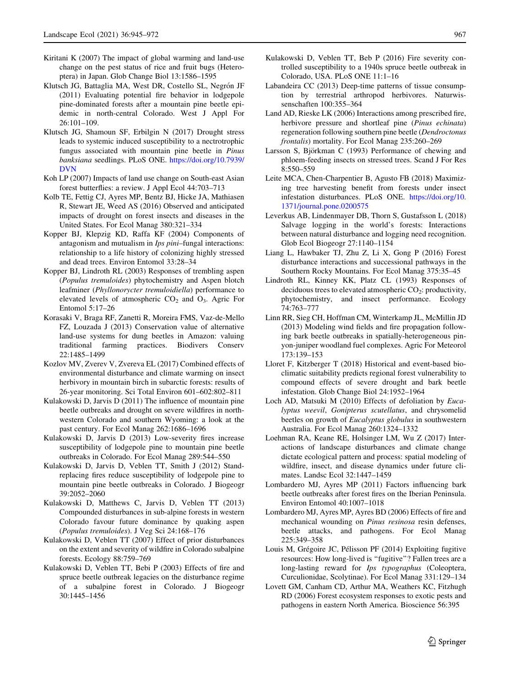- <span id="page-22-0"></span>Kiritani K (2007) The impact of global warming and land-use change on the pest status of rice and fruit bugs (Heteroptera) in Japan. Glob Change Biol 13:1586–1595
- Klutsch JG, Battaglia MA, West DR, Costello SL, Negrón JF (2011) Evaluating potential fire behavior in lodgepole pine-dominated forests after a mountain pine beetle epidemic in north-central Colorado. West J Appl For 26:101–109.
- Klutsch JG, Shamoun SF, Erbilgin N (2017) Drought stress leads to systemic induced susceptibility to a nectrotrophic fungus associated with mountain pine beetle in Pinus banksiana seedlings. PLoS ONE. [https://doi.org/10.7939/](https://doi.org/10.7939/DVN) [DVN](https://doi.org/10.7939/DVN)
- Koh LP (2007) Impacts of land use change on South-east Asian forest butterflies: a review. J Appl Ecol 44:703–713
- Kolb TE, Fettig CJ, Ayres MP, Bentz BJ, Hicke JA, Mathiasen R, Stewart JE, Weed AS (2016) Observed and anticipated impacts of drought on forest insects and diseases in the United States. For Ecol Manag 380:321–334
- Kopper BJ, Klepzig KD, Raffa KF (2004) Components of antagonism and mutualism in Ips pini–fungal interactions: relationship to a life history of colonizing highly stressed and dead trees. Environ Entomol 33:28–34
- Kopper BJ, Lindroth RL (2003) Responses of trembling aspen (Populus tremuloides) phytochemistry and Aspen blotch leafminer (Phyllonorycter tremuloidiella) performance to elevated levels of atmospheric  $CO<sub>2</sub>$  and  $O<sub>3</sub>$ . Agric For Entomol 5:17–26
- Korasaki V, Braga RF, Zanetti R, Moreira FMS, Vaz-de-Mello FZ, Louzada J (2013) Conservation value of alternative land-use systems for dung beetles in Amazon: valuing traditional farming practices. Biodivers Conserv 22:1485–1499
- Kozlov MV, Zverev V, Zvereva EL (2017) Combined effects of environmental disturbance and climate warming on insect herbivory in mountain birch in subarctic forests: results of 26-year monitoring. Sci Total Environ 601–602:802–811
- Kulakowski D, Jarvis D (2011) The influence of mountain pine beetle outbreaks and drought on severe wildfires in northwestern Colorado and southern Wyoming: a look at the past century. For Ecol Manag 262:1686–1696
- Kulakowski D, Jarvis D (2013) Low-severity fires increase susceptibility of lodgepole pine to mountain pine beetle outbreaks in Colorado. For Ecol Manag 289:544–550
- Kulakowski D, Jarvis D, Veblen TT, Smith J (2012) Standreplacing fires reduce susceptibility of lodgepole pine to mountain pine beetle outbreaks in Colorado. J Biogeogr 39:2052–2060
- Kulakowski D, Matthews C, Jarvis D, Veblen TT (2013) Compounded disturbances in sub-alpine forests in western Colorado favour future dominance by quaking aspen (Populus tremuloides). J Veg Sci 24:168–176
- Kulakowski D, Veblen TT (2007) Effect of prior disturbances on the extent and severity of wildfire in Colorado subalpine forests. Ecology 88:759–769
- Kulakowski D, Veblen TT, Bebi P (2003) Effects of fire and spruce beetle outbreak legacies on the disturbance regime of a subalpine forest in Colorado. J Biogeogr 30:1445–1456
- Kulakowski D, Veblen TT, Beb P (2016) Fire severity controlled susceptibility to a 1940s spruce beetle outbreak in Colorado, USA. PLoS ONE 11:1–16
- Labandeira CC (2013) Deep-time patterns of tissue consumption by terrestrial arthropod herbivores. Naturwissenschaften 100:355–364
- Land AD, Rieske LK (2006) Interactions among prescribed fire, herbivore pressure and shortleaf pine (Pinus echinata) regeneration following southern pine beetle (Dendroctonus frontalis) mortality. For Ecol Manag 235:260–269
- Larsson S, Björkman C (1993) Performance of chewing and phloem-feeding insects on stressed trees. Scand J For Res 8:550–559
- Leite MCA, Chen-Charpentier B, Agusto FB (2018) Maximizing tree harvesting benefit from forests under insect infestation disturbances. PLoS ONE. [https://doi.org/10.](https://doi.org/10.1371/journal.pone.0200575) [1371/journal.pone.0200575](https://doi.org/10.1371/journal.pone.0200575)
- Leverkus AB, Lindenmayer DB, Thorn S, Gustafsson L (2018) Salvage logging in the world's forests: Interactions between natural disturbance and logging need recognition. Glob Ecol Biogeogr 27:1140–1154
- Liang L, Hawbaker TJ, Zhu Z, Li X, Gong P (2016) Forest disturbance interactions and successional pathways in the Southern Rocky Mountains. For Ecol Manag 375:35–45
- Lindroth RL, Kinney KK, Platz CL (1993) Responses of deciduous trees to elevated atmospheric  $CO<sub>2</sub>$ : productivity, phytochemistry, and insect performance. Ecology 74:763–777
- Linn RR, Sieg CH, Hoffman CM, Winterkamp JL, McMillin JD (2013) Modeling wind fields and fire propagation following bark beetle outbreaks in spatially-heterogeneous pinyon-juniper woodland fuel complexes. Agric For Meteorol 173:139–153
- Lloret F, Kitzberger T (2018) Historical and event-based bioclimatic suitability predicts regional forest vulnerability to compound effects of severe drought and bark beetle infestation. Glob Change Biol 24:1952–1964
- Loch AD, Matsuki M (2010) Effects of defoliation by Eucalyptus weevil, Gonipterus scutellatus, and chrysomelid beetles on growth of Eucalyptus globulus in southwestern Australia. For Ecol Manag 260:1324–1332
- Loehman RA, Keane RE, Holsinger LM, Wu Z (2017) Interactions of landscape disturbances and climate change dictate ecological pattern and process: spatial modeling of wildfire, insect, and disease dynamics under future climates. Landsc Ecol 32:1447–1459
- Lombardero MJ, Ayres MP (2011) Factors influencing bark beetle outbreaks after forest fires on the Iberian Peninsula. Environ Entomol 40:1007–1018
- Lombardero MJ, Ayres MP, Ayres BD (2006) Effects of fire and mechanical wounding on Pinus resinosa resin defenses, beetle attacks, and pathogens. For Ecol Manag 225:349–358
- Louis M, Grégoire JC, Pélisson PF (2014) Exploiting fugitive resources: How long-lived is "fugitive"? Fallen trees are a long-lasting reward for *Ips typographus* (Coleoptera, Curculionidae, Scolytinae). For Ecol Manag 331:129–134
- Lovett GM, Canham CD, Arthur MA, Weathers KC, Fitzhugh RD (2006) Forest ecosystem responses to exotic pests and pathogens in eastern North America. Bioscience 56:395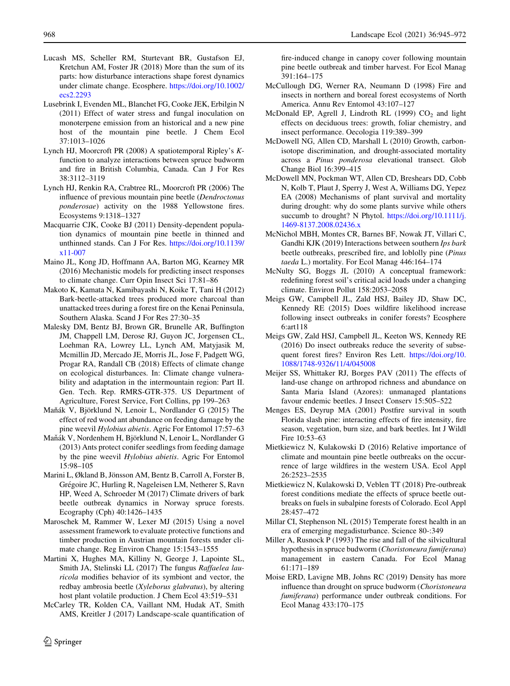- <span id="page-23-0"></span>Lucash MS, Scheller RM, Sturtevant BR, Gustafson EJ, Kretchun AM, Foster JR (2018) More than the sum of its parts: how disturbance interactions shape forest dynamics under climate change. Ecosphere. [https://doi.org/10.1002/](https://doi.org/10.1002/ecs2.2293) [ecs2.2293](https://doi.org/10.1002/ecs2.2293)
- Lusebrink I, Evenden ML, Blanchet FG, Cooke JEK, Erbilgin N (2011) Effect of water stress and fungal inoculation on monoterpene emission from an historical and a new pine host of the mountain pine beetle. J Chem Ecol 37:1013–1026
- Lynch HJ, Moorcroft PR (2008) A spatiotemporal Ripley's Kfunction to analyze interactions between spruce budworm and fire in British Columbia, Canada. Can J For Res 38:3112–3119
- Lynch HJ, Renkin RA, Crabtree RL, Moorcroft PR (2006) The influence of previous mountain pine beetle (Dendroctonus ponderosae) activity on the 1988 Yellowstone fires. Ecosystems 9:1318–1327
- Macquarrie CJK, Cooke BJ (2011) Density-dependent population dynamics of mountain pine beetle in thinned and unthinned stands. Can J For Res. [https://doi.org/10.1139/](https://doi.org/10.1139/x11-007) [x11-007](https://doi.org/10.1139/x11-007)
- Maino JL, Kong JD, Hoffmann AA, Barton MG, Kearney MR (2016) Mechanistic models for predicting insect responses to climate change. Curr Opin Insect Sci 17:81–86
- Makoto K, Kamata N, Kamibayashi N, Koike T, Tani H (2012) Bark-beetle-attacked trees produced more charcoal than unattacked trees during a forest fire on the Kenai Peninsula, Southern Alaska. Scand J For Res 27:30–35
- Malesky DM, Bentz BJ, Brown GR, Brunelle AR, Buffington JM, Chappell LM, Derose RJ, Guyon JC, Jorgensen CL, Loehman RA, Lowrey LL, Lynch AM, Matyjasik M, Mcmillin JD, Mercado JE, Morris JL, Jose F, Padgett WG, Progar RA, Randall CB (2018) Effects of climate change on ecological disturbances. In: Climate change vulnerability and adaptation in the intermountain region: Part II. Gen. Tech. Rep. RMRS-GTR-375. US Department of Agriculture, Forest Service, Fort Collins, pp 199–263
- Maňák V, Björklund N, Lenoir L, Nordlander G (2015) The effect of red wood ant abundance on feeding damage by the pine weevil Hylobius abietis. Agric For Entomol 17:57–63
- Maňák V, Nordenhem H, Björklund N, Lenoir L, Nordlander G (2013) Ants protect conifer seedlings from feeding damage by the pine weevil Hylobius abietis. Agric For Entomol 15:98–105
- Marini L, Økland B, Jönsson AM, Bentz B, Carroll A, Forster B, Grégoire JC, Hurling R, Nageleisen LM, Netherer S, Ravn HP, Weed A, Schroeder M (2017) Climate drivers of bark beetle outbreak dynamics in Norway spruce forests. Ecography (Cph) 40:1426–1435
- Maroschek M, Rammer W, Lexer MJ (2015) Using a novel assessment framework to evaluate protective functions and timber production in Austrian mountain forests under climate change. Reg Environ Change 15:1543–1555
- Martini X, Hughes MA, Killiny N, George J, Lapointe SL, Smith JA, Stelinski LL (2017) The fungus Raffaelea lauricola modifies behavior of its symbiont and vector, the redbay ambrosia beetle (*Xyleborus glabratus*), by altering host plant volatile production. J Chem Ecol 43:519–531
- McCarley TR, Kolden CA, Vaillant NM, Hudak AT, Smith AMS, Kreitler J (2017) Landscape-scale quantification of

fire-induced change in canopy cover following mountain pine beetle outbreak and timber harvest. For Ecol Manag 391:164–175

- McCullough DG, Werner RA, Neumann D (1998) Fire and insects in northern and boreal forest ecosystems of North America. Annu Rev Entomol 43:107–127
- McDonald EP, Agrell J, Lindroth RL (1999)  $CO<sub>2</sub>$  and light effects on deciduous trees: growth, foliar chemistry, and insect performance. Oecologia 119:389–399
- McDowell NG, Allen CD, Marshall L (2010) Growth, carbonisotope discrimination, and drought-associated mortality across a Pinus ponderosa elevational transect. Glob Change Biol 16:399–415
- McDowell MN, Pockman WT, Allen CD, Breshears DD, Cobb N, Kolb T, Plaut J, Sperry J, West A, Williams DG, Yepez EA (2008) Mechanisms of plant survival and mortality during drought: why do some plants survive while others succumb to drought? N Phytol. [https://doi.org/10.1111/j.](https://doi.org/10.1111/j.1469-8137.2008.02436.x) [1469-8137.2008.02436.x](https://doi.org/10.1111/j.1469-8137.2008.02436.x)
- McNichol MBH, Montes CR, Barnes BF, Nowak JT, Villari C, Gandhi KJK (2019) Interactions between southern Ips bark beetle outbreaks, prescribed fire, and loblolly pine (Pinus taeda L.) mortality. For Ecol Manag 446:164–174
- McNulty SG, Boggs JL (2010) A conceptual framework: redefining forest soil's critical acid loads under a changing climate. Environ Pollut 158:2053–2058
- Meigs GW, Campbell JL, Zald HSJ, Bailey JD, Shaw DC, Kennedy RE (2015) Does wildfire likelihood increase following insect outbreaks in conifer forests? Ecosphere 6:art118
- Meigs GW, Zald HSJ, Campbell JL, Keeton WS, Kennedy RE (2016) Do insect outbreaks reduce the severity of subsequent forest fires? Environ Res Lett. [https://doi.org/10.](https://doi.org/10.1088/1748-9326/11/4/045008) [1088/1748-9326/11/4/045008](https://doi.org/10.1088/1748-9326/11/4/045008)
- Meijer SS, Whittaker RJ, Borges PAV (2011) The effects of land-use change on arthropod richness and abundance on Santa Maria Island (Azores): unmanaged plantations favour endemic beetles. J Insect Conserv 15:505–522
- Menges ES, Deyrup MA (2001) Postfire survival in south Florida slash pine: interacting effects of fire intensity, fire season, vegetation, burn size, and bark beetles. Int J Wildl Fire 10:53–63
- Mietkiewicz N, Kulakowski D (2016) Relative importance of climate and mountain pine beetle outbreaks on the occurrence of large wildfires in the western USA. Ecol Appl 26:2523–2535
- Mietkiewicz N, Kulakowski D, Veblen TT (2018) Pre-outbreak forest conditions mediate the effects of spruce beetle outbreaks on fuels in subalpine forests of Colorado. Ecol Appl 28:457–472
- Millar CI, Stephenson NL (2015) Temperate forest health in an era of emerging megadisturbance. Science 80-:349
- Miller A, Rusnock P (1993) The rise and fall of the silvicultural hypothesis in spruce budworm (Choristoneura fumiferana) management in eastern Canada. For Ecol Manag 61:171–189
- Moise ERD, Lavigne MB, Johns RC (2019) Density has more influence than drought on spruce budworm (*Choristoneura*) fumiferana) performance under outbreak conditions. For Ecol Manag 433:170–175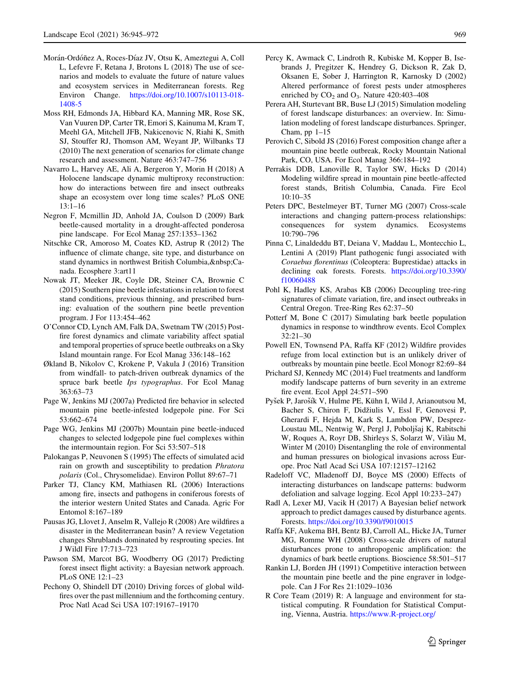- <span id="page-24-0"></span>Morán-Ordóñez A, Roces-Díaz JV, Otsu K, Ameztegui A, Coll L, Lefevre F, Retana J, Brotons L (2018) The use of scenarios and models to evaluate the future of nature values and ecosystem services in Mediterranean forests. Reg Environ Change. [https://doi.org/10.1007/s10113-018-](https://doi.org/10.1007/s10113-018-1408-5) [1408-5](https://doi.org/10.1007/s10113-018-1408-5)
- Moss RH, Edmonds JA, Hibbard KA, Manning MR, Rose SK, Van Vuuren DP, Carter TR, Emori S, Kainuma M, Kram T, Meehl GA, Mitchell JFB, Nakicenovic N, Riahi K, Smith SJ, Stouffer RJ, Thomson AM, Weyant JP, Wilbanks TJ (2010) The next generation of scenarios for climate change research and assessment. Nature 463:747–756
- Navarro L, Harvey AE, Ali A, Bergeron Y, Morin H (2018) A Holocene landscape dynamic multiproxy reconstruction: how do interactions between fire and insect outbreaks shape an ecosystem over long time scales? PLoS ONE 13:1–16
- Negron F, Mcmillin JD, Anhold JA, Coulson D (2009) Bark beetle-caused mortality in a drought-affected ponderosa pine landscape. For Ecol Manag 257:1353–1362
- Nitschke CR, Amoroso M, Coates KD, Astrup R (2012) The influence of climate change, site type, and disturbance on stand dynamics in northwest British Columbia, Canada. Ecosphere 3:art11
- Nowak JT, Meeker JR, Coyle DR, Steiner CA, Brownie C (2015) Southern pine beetle infestations in relation to forest stand conditions, previous thinning, and prescribed burning: evaluation of the southern pine beetle prevention program. J For 113:454–462
- O'Connor CD, Lynch AM, Falk DA, Swetnam TW (2015) Postfire forest dynamics and climate variability affect spatial and temporal properties of spruce beetle outbreaks on a Sky Island mountain range. For Ecol Manag 336:148–162
- Økland B, Nikolov C, Krokene P, Vakula J (2016) Transition from windfall- to patch-driven outbreak dynamics of the spruce bark beetle Ips typographus. For Ecol Manag 363:63–73
- Page W, Jenkins MJ (2007a) Predicted fire behavior in selected mountain pine beetle-infested lodgepole pine. For Sci 53:662–674
- Page WG, Jenkins MJ (2007b) Mountain pine beetle-induced changes to selected lodgepole pine fuel complexes within the intermountain region. For Sci 53:507–518
- Palokangas P, Neuvonen S (1995) The effects of simulated acid rain on growth and susceptibility to predation Phratora polaris (Col., Chrysomelidae). Environ Pollut 89:67–71
- Parker TJ, Clancy KM, Mathiasen RL (2006) Interactions among fire, insects and pathogens in coniferous forests of the interior western United States and Canada. Agric For Entomol 8:167–189
- Pausas JG, Llovet J, Anselm R, Vallejo R (2008) Are wildfires a disaster in the Mediterranean basin? A review Vegetation changes Shrublands dominated by resprouting species. Int J Wildl Fire 17:713–723
- Pawson SM, Marcot BG, Woodberry OG (2017) Predicting forest insect flight activity: a Bayesian network approach. PLoS ONE 12:1–23
- Pechony O, Shindell DT (2010) Driving forces of global wildfires over the past millennium and the forthcoming century. Proc Natl Acad Sci USA 107:19167–19170
- Percy K, Awmack C, Lindroth R, Kubiske M, Kopper B, Isebrands J, Pregitzer K, Hendrey G, Dickson R, Zak D, Oksanen E, Sober J, Harrington R, Karnosky D (2002) Altered performance of forest pests under atmospheres enriched by  $CO<sub>2</sub>$  and  $O<sub>3</sub>$ . Nature 420:403-408
- Perera AH, Sturtevant BR, Buse LJ (2015) Simulation modeling of forest landscape disturbances: an overview. In: Simulation modeling of forest landscape disturbances. Springer, Cham, pp 1–15
- Perovich C, Sibold JS (2016) Forest composition change after a mountain pine beetle outbreak, Rocky Mountain National Park, CO, USA. For Ecol Manag 366:184–192
- Perrakis DDB, Lanoville R, Taylor SW, Hicks D (2014) Modeling wildfire spread in mountain pine beetle-affected forest stands, British Columbia, Canada. Fire Ecol 10:10–35
- Peters DPC, Bestelmeyer BT, Turner MG (2007) Cross-scale interactions and changing pattern-process relationships: consequences for system dynamics. Ecosystems 10:790–796
- Pinna C, Linaldeddu BT, Deiana V, Maddau L, Montecchio L, Lentini A (2019) Plant pathogenic fungi associated with Coraebus florentinus (Coleoptera: Buprestidae) attacks in declining oak forests. Forests. [https://doi.org/10.3390/](https://doi.org/10.3390/f10060488) [f10060488](https://doi.org/10.3390/f10060488)
- Pohl K, Hadley KS, Arabas KB (2006) Decoupling tree-ring signatures of climate variation, fire, and insect outbreaks in Central Oregon. Tree-Ring Res 62:37–50
- Potterf M, Bone C (2017) Simulating bark beetle population dynamics in response to windthrow events. Ecol Complex 32:21–30
- Powell EN, Townsend PA, Raffa KF (2012) Wildfire provides refuge from local extinction but is an unlikely driver of outbreaks by mountain pine beetle. Ecol Monogr 82:69–84
- Prichard SJ, Kennedy MC (2014) Fuel treatments and landform modify landscape patterns of burn severity in an extreme fire event. Ecol Appl 24:571–590
- Pyšek P, Jarošík V, Hulme PE, Kühn I, Wild J, Arianoutsou M, Bacher S, Chiron F, Didžiulis V, Essl F, Genovesi P, Gherardi F, Hejda M, Kark S, Lambdon PW, Desprez-Loustau ML, Nentwig W, Pergl J, Poboljšaj K, Rabitschi W, Roques A, Royr DB, Shirleys S, Solarzt W, Vilàu M, Winter M (2010) Disentangling the role of environmental and human pressures on biological invasions across Europe. Proc Natl Acad Sci USA 107:12157–12162
- Radeloff VC, Mladenoff DJ, Boyce MS (2000) Effects of interacting disturbances on landscape patterns: budworm defoliation and salvage logging. Ecol Appl 10:233–247)
- Radl A, Lexer MJ, Vacik H (2017) A Bayesian belief network approach to predict damages caused by disturbance agents. Forests. <https://doi.org/10.3390/f9010015>
- Raffa KF, Aukema BH, Bentz BJ, Carroll AL, Hicke JA, Turner MG, Romme WH (2008) Cross-scale drivers of natural disturbances prone to anthropogenic amplification: the dynamics of bark beetle eruptions. Bioscience 58:501–517
- Rankin LJ, Borden JH (1991) Competitive interaction between the mountain pine beetle and the pine engraver in lodgepole. Can J For Res 21:1029–1036
- R Core Team (2019) R: A language and environment for statistical computing. R Foundation for Statistical Computing, Vienna, Austria. <https://www.R-project.org/>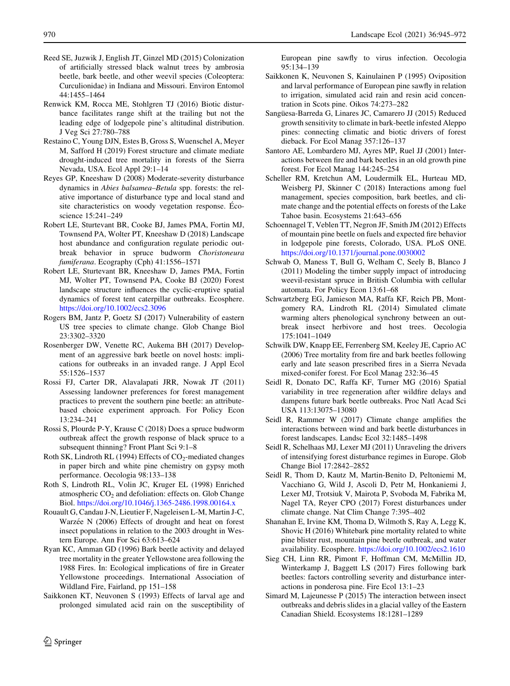- <span id="page-25-0"></span>Reed SE, Juzwik J, English JT, Ginzel MD (2015) Colonization of artificially stressed black walnut trees by ambrosia beetle, bark beetle, and other weevil species (Coleoptera: Curculionidae) in Indiana and Missouri. Environ Entomol 44:1455–1464
- Renwick KM, Rocca ME, Stohlgren TJ (2016) Biotic disturbance facilitates range shift at the trailing but not the leading edge of lodgepole pine's altitudinal distribution. J Veg Sci 27:780–788
- Restaino C, Young DJN, Estes B, Gross S, Wuenschel A, Meyer M, Safford H (2019) Forest structure and climate mediate drought-induced tree mortality in forests of the Sierra Nevada, USA. Ecol Appl 29:1–14
- Reyes GP, Kneeshaw D (2008) Moderate-severity disturbance dynamics in Abies balsamea–Betula spp. forests: the relative importance of disturbance type and local stand and site characteristics on woody vegetation response. Écoscience 15:241–249
- Robert LE, Sturtevant BR, Cooke BJ, James PMA, Fortin MJ, Townsend PA, Wolter PT, Kneeshaw D (2018) Landscape host abundance and configuration regulate periodic outbreak behavior in spruce budworm Choristoneura fumiferana. Ecography (Cph) 41:1556–1571
- Robert LE, Sturtevant BR, Kneeshaw D, James PMA, Fortin MJ, Wolter PT, Townsend PA, Cooke BJ (2020) Forest landscape structure influences the cyclic-eruptive spatial dynamics of forest tent caterpillar outbreaks. Ecosphere. <https://doi.org/10.1002/ecs2.3096>
- Rogers BM, Jantz P, Goetz SJ (2017) Vulnerability of eastern US tree species to climate change. Glob Change Biol 23:3302–3320
- Rosenberger DW, Venette RC, Aukema BH (2017) Development of an aggressive bark beetle on novel hosts: implications for outbreaks in an invaded range. J Appl Ecol 55:1526–1537
- Rossi FJ, Carter DR, Alavalapati JRR, Nowak JT (2011) Assessing landowner preferences for forest management practices to prevent the southern pine beetle: an attributebased choice experiment approach. For Policy Econ 13:234–241
- Rossi S, Plourde P-Y, Krause C (2018) Does a spruce budworm outbreak affect the growth response of black spruce to a subsequent thinning? Front Plant Sci 9:1–8
- Roth SK, Lindroth RL (1994) Effects of  $CO_2$ -mediated changes in paper birch and white pine chemistry on gypsy moth performance. Oecologia 98:133–138
- Roth S, Lindroth RL, Volin JC, Kruger EL (1998) Enriched atmospheric  $CO<sub>2</sub>$  and defoliation: effects on. Glob Change Biol. <https://doi.org/10.1046/j.1365-2486.1998.00164.x>
- Rouault G, Candau J-N, Lieutier F, Nageleisen L-M, Martin J-C, Warzée N (2006) Effects of drought and heat on forest insect populations in relation to the 2003 drought in Western Europe. Ann For Sci 63:613–624
- Ryan KC, Amman GD (1996) Bark beetle activity and delayed tree mortality in the greater Yellowstone area following the 1988 Fires. In: Ecological implications of fire in Greater Yellowstone proceedings. International Association of Wildland Fire, Fairland, pp 151–158
- Saikkonen KT, Neuvonen S (1993) Effects of larval age and prolonged simulated acid rain on the susceptibility of

European pine sawfly to virus infection. Oecologia 95:134–139

- Saikkonen K, Neuvonen S, Kainulainen P (1995) Oviposition and larval performance of European pine sawfly in relation to irrigation, simulated acid rain and resin acid concentration in Scots pine. Oikos 74:273–282
- Sangüesa-Barreda G, Linares JC, Camarero JJ (2015) Reduced growth sensitivity to climate in bark-beetle infested Aleppo pines: connecting climatic and biotic drivers of forest dieback. For Ecol Manag 357:126–137
- Santoro AE, Lombardero MJ, Ayres MP, Ruel JJ (2001) Interactions between fire and bark beetles in an old growth pine forest. For Ecol Manag 144:245–254
- Scheller RM, Kretchun AM, Loudermilk EL, Hurteau MD, Weisberg PJ, Skinner C (2018) Interactions among fuel management, species composition, bark beetles, and climate change and the potential effects on forests of the Lake Tahoe basin. Ecosystems 21:643–656
- Schoennagel T, Veblen TT, Negron JF, Smith JM (2012) Effects of mountain pine beetle on fuels and expected fire behavior in lodgepole pine forests, Colorado, USA. PLoS ONE. <https://doi.org/10.1371/journal.pone.0030002>
- Schwab O, Maness T, Bull G, Welham C, Seely B, Blanco J (2011) Modeling the timber supply impact of introducing weevil-resistant spruce in British Columbia with cellular automata. For Policy Econ 13:61–68
- Schwartzberg EG, Jamieson MA, Raffa KF, Reich PB, Montgomery RA, Lindroth RL (2014) Simulated climate warming alters phenological synchrony between an outbreak insect herbivore and host trees. Oecologia 175:1041–1049
- Schwilk DW, Knapp EE, Ferrenberg SM, Keeley JE, Caprio AC (2006) Tree mortality from fire and bark beetles following early and late season prescribed fires in a Sierra Nevada mixed-conifer forest. For Ecol Manag 232:36–45
- Seidl R, Donato DC, Raffa KF, Turner MG (2016) Spatial variability in tree regeneration after wildfire delays and dampens future bark beetle outbreaks. Proc Natl Acad Sci USA 113:13075–13080
- Seidl R, Rammer W (2017) Climate change amplifies the interactions between wind and bark beetle disturbances in forest landscapes. Landsc Ecol 32:1485–1498
- Seidl R, Schelhaas MJ, Lexer MJ (2011) Unraveling the drivers of intensifying forest disturbance regimes in Europe. Glob Change Biol 17:2842–2852
- Seidl R, Thom D, Kautz M, Martin-Benito D, Peltoniemi M, Vacchiano G, Wild J, Ascoli D, Petr M, Honkaniemi J, Lexer MJ, Trotsiuk V, Mairota P, Svoboda M, Fabrika M, Nagel TA, Reyer CPO (2017) Forest disturbances under climate change. Nat Clim Change 7:395–402
- Shanahan E, Irvine KM, Thoma D, Wilmoth S, Ray A, Legg K, Shovic H (2016) Whitebark pine mortality related to white pine blister rust, mountain pine beetle outbreak, and water availability. Ecosphere. <https://doi.org/10.1002/ecs2.1610>
- Sieg CH, Linn RR, Pimont F, Hoffman CM, McMillin JD, Winterkamp J, Baggett LS (2017) Fires following bark beetles: factors controlling severity and disturbance interactions in ponderosa pine. Fire Ecol 13:1–23
- Simard M, Lajeunesse P (2015) The interaction between insect outbreaks and debris slides in a glacial valley of the Eastern Canadian Shield. Ecosystems 18:1281–1289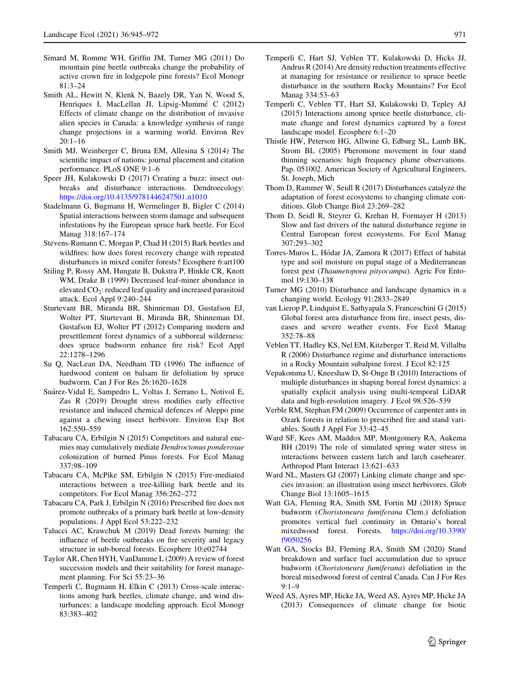- <span id="page-26-0"></span>Simard M, Romme WH, Griffin JM, Turner MG (2011) Do mountain pine beetle outbreaks change the probability of active crown fire in lodgepole pine forests? Ecol Monogr 81:3–24
- Smith AL, Hewitt N, Klenk N, Bazely DR, Yan N, Wood S, Henriques I, MacLellan JI, Lipsig-Mummé C (2012) Effects of climate change on the distribution of invasive alien species in Canada: a knowledge synthesis of range change projections in a warming world. Environ Rev 20:1–16
- Smith MJ, Weinberger C, Bruna EM, Allesina S (2014) The scientific impact of nations: journal placement and citation performance. PLoS ONE 9:1–6
- Speer JH, Kulakowski D (2017) Creating a buzz: insect outbreaks and disturbance interactions. Dendroecology: <https://doi.org/10.4135/9781446247501.n1010>
- Stadelmann G, Bugmann H, Wermelinger B, Bigler C (2014) Spatial interactions between storm damage and subsequent infestations by the European spruce bark beetle. For Ecol Manag 318:167–174
- Stevens-Rumann C, Morgan P, Chad H (2015) Bark beetles and wildfires: how does forest recovery change with repeated disturbances in mixed conifer forests? Ecosphere 6:art100
- Stiling P, Rossy AM, Hungate B, Dukstra P, Hinkle CR, Knott WM, Drake B (1999) Decreased leaf-miner abundance in elevated  $CO<sub>2</sub>$ : reduced leaf quality and increased parasitoid attack. Ecol Appl 9:240–244
- Sturtevant BR, Miranda BR, Shinneman DJ, Gustafson EJ, Wolter PT, Sturtevant B, Miranda BR, Shinneman DJ, Gustafson EJ, Wolter PT (2012) Comparing modern and presettlement forest dynamics of a subboreal wilderness: does spruce budworm enhance fire risk? Ecol Appl 22:1278–1296
- Su Q, NacLean DA, Needham TD (1996) The influence of hardwood content on balsam fir defoliation by spruce budworm. Can J For Res 26:1620–1628
- Suárez-Vidal E, Sampedro L, Voltas J, Serrano L, Notivol E, Zas R (2019) Drought stress modifies early effective resistance and induced chemical defences of Aleppo pine against a chewing insect herbivore. Environ Exp Bot 162:550–559
- Tabacaru CA, Erbilgin N (2015) Competitors and natural enemies may cumulatively mediate Dendroctonus ponderosae colonization of burned Pinus forests. For Ecol Manag 337:98–109
- Tabacaru CA, McPike SM, Erbilgin N (2015) Fire-mediated interactions between a tree-killing bark beetle and its competitors. For Ecol Manag 356:262–272
- Tabacaru CA, Park J, Erbilgin N (2016) Prescribed fire does not promote outbreaks of a primary bark beetle at low-density populations. J Appl Ecol 53:222–232
- Talucci AC, Krawchuk M (2019) Dead forests burning: the influence of beetle outbreaks on fire severity and legacy structure in sub-boreal forests. Ecosphere 10:e02744
- Taylor AR, Chen HYH, VanDamme L (2009) A review of forest succession models and their suitability for forest management planning. For Sci 55:23–36
- Temperli C, Bugmann H, Elkin C (2013) Cross-scale interactions among bark beetles, climate change, and wind disturbances: a landscape modeling approach. Ecol Monogr 83:383–402
- Temperli C, Hart SJ, Veblen TT, Kulakowski D, Hicks JJ, Andrus R (2014) Are density reduction treatments effective at managing for resistance or resilience to spruce beetle disturbance in the southern Rocky Mountains? For Ecol Manag 334:53–63
- Temperli C, Veblen TT, Hart SJ, Kulakowski D, Tepley AJ (2015) Interactions among spruce beetle disturbance, climate change and forest dynamics captured by a forest landscape model. Ecosphere 6:1–20
- Thistle HW, Peterson HG, Allwine G, Edburg SL, Lamb BK, Strom BL (2005) Pheromone movement in four stand thinning scenarios: high frequency plume observations. Pap. 051002. American Society of Agricultural Engineers, St. Joseph, Mich
- Thom D, Rammer W, Seidl R (2017) Disturbances catalyze the adaptation of forest ecosystems to changing climate conditions. Glob Change Biol 23:269–282
- Thom D, Seidl R, Steyrer G, Krehan H, Formayer H (2013) Slow and fast drivers of the natural disturbance regime in Central European forest ecosystems. For Ecol Manag 307:293–302
- Torres-Muros L, Hódar JA, Zamora R (2017) Effect of habitat type and soil moisture on pupal stage of a Mediterranean forest pest (Thaumetopoea pityocampa). Agric For Entomol 19:130–138
- Turner MG (2010) Disturbance and landscape dynamics in a changing world. Ecology 91:2833–2849
- van Lierop P, Lindquist E, Sathyapala S, Franceschini G (2015) Global forest area disturbance from fire, insect pests, diseases and severe weather events. For Ecol Manag 352:78–88
- Veblen TT, Hadley KS, Nel EM, Kitzberger T, Reid M, Villalba R (2006) Disturbance regime and disturbance interactions in a Rocky Mountain subalpine forest. J Ecol 82:125
- Vepakomma U, Kneeshaw D, St-Onge B (2010) Interactions of multiple disturbances in shaping boreal forest dynamics: a spatially explicit analysis using multi-temporal LiDAR data and high-resolution imagery. J Ecol 98:526–539
- Verble RM, Stephan FM (2009) Occurrence of carpenter ants in Ozark forests in relation to prescribed fire and stand variables. South J Appl For 33:42–45
- Ward SF, Kees AM, Maddox MP, Montgomery RA, Aukema BH (2019) The role of simulated spring water stress in interactions between eastern larch and larch casebearer. Arthropod Plant Interact 13:621–633
- Ward NL, Masters GJ (2007) Linking climate change and species invasion: an illustration using insect herbivores. Glob Change Biol 13:1605–1615
- Watt GA, Fleming RA, Smith SM, Fortin MJ (2018) Spruce budworm (Choristoneura fumiferana Clem.) defoliation promotes vertical fuel continuity in Ontario's boreal mixedwood forest. Forests. [https://doi.org/10.3390/](https://doi.org/10.3390/f9050256) [f9050256](https://doi.org/10.3390/f9050256)
- Watt GA, Stocks BJ, Fleming RA, Smith SM (2020) Stand breakdown and surface fuel accumulation due to spruce budworm (Choristoneura fumiferana) defoliation in the boreal mixedwood forest of central Canada. Can J For Res 9:1–9
- Weed AS, Ayres MP, Hicke JA, Weed AS, Ayres MP, Hicke JA (2013) Consequences of climate change for biotic